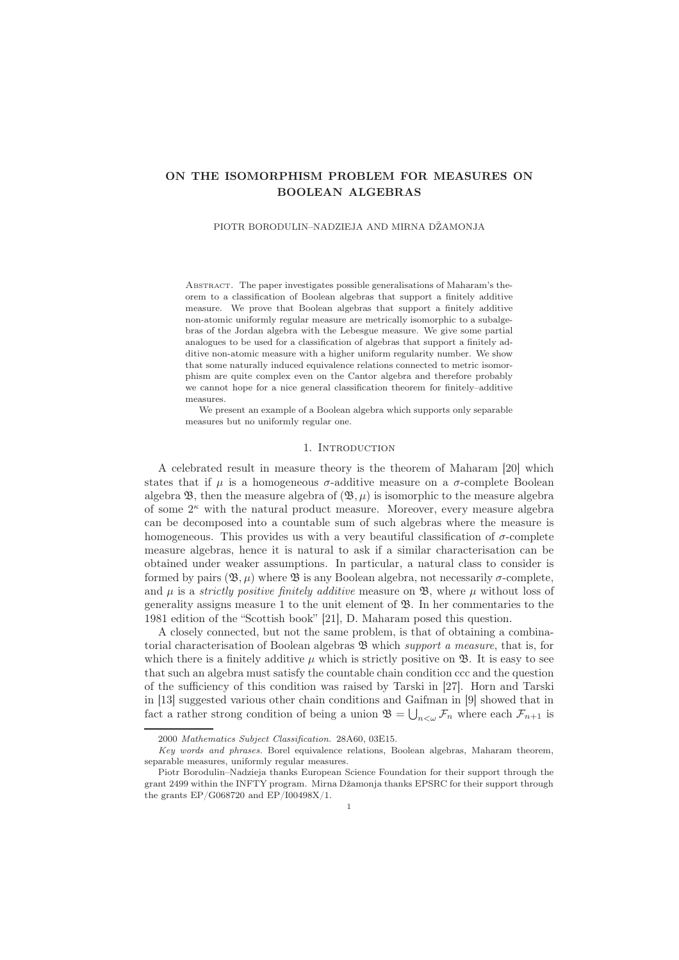# ON THE ISOMORPHISM PROBLEM FOR MEASURES ON BOOLEAN ALGEBRAS

#### PIOTR BORODULIN–NADZIEJA AND MIRNA DŽAMONJA

Abstract. The paper investigates possible generalisations of Maharam's theorem to a classification of Boolean algebras that support a finitely additive measure. We prove that Boolean algebras that support a finitely additive non-atomic uniformly regular measure are metrically isomorphic to a subalgebras of the Jordan algebra with the Lebesgue measure. We give some partial analogues to be used for a classification of algebras that support a finitely additive non-atomic measure with a higher uniform regularity number. We show that some naturally induced equivalence relations connected to metric isomorphism are quite complex even on the Cantor algebra and therefore probably we cannot hope for a nice general classification theorem for finitely–additive measures.

We present an example of a Boolean algebra which supports only separable measures but no uniformly regular one.

### 1. INTRODUCTION

A celebrated result in measure theory is the theorem of Maharam [20] which states that if  $\mu$  is a homogeneous  $\sigma$ -additive measure on a  $\sigma$ -complete Boolean algebra  $\mathfrak{B}$ , then the measure algebra of  $(\mathfrak{B}, \mu)$  is isomorphic to the measure algebra of some  $2^{\kappa}$  with the natural product measure. Moreover, every measure algebra can be decomposed into a countable sum of such algebras where the measure is homogeneous. This provides us with a very beautiful classification of  $\sigma$ -complete measure algebras, hence it is natural to ask if a similar characterisation can be obtained under weaker assumptions. In particular, a natural class to consider is formed by pairs  $(\mathfrak{B}, \mu)$  where  $\mathfrak{B}$  is any Boolean algebra, not necessarily  $\sigma$ -complete, and  $\mu$  is a *strictly positive finitely additive* measure on  $\mathfrak{B}$ , where  $\mu$  without loss of generality assigns measure 1 to the unit element of  $\mathfrak{B}$ . In her commentaries to the 1981 edition of the "Scottish book" [21], D. Maharam posed this question.

A closely connected, but not the same problem, is that of obtaining a combinatorial characterisation of Boolean algebras  $\mathfrak{B}$  which support a measure, that is, for which there is a finitely additive  $\mu$  which is strictly positive on  $\mathfrak{B}$ . It is easy to see that such an algebra must satisfy the countable chain condition ccc and the question of the sufficiency of this condition was raised by Tarski in [27]. Horn and Tarski in [13] suggested various other chain conditions and Gaifman in [9] showed that in fact a rather strong condition of being a union  $\mathfrak{B} = \bigcup_{n<\omega} \mathcal{F}_n$  where each  $\mathcal{F}_{n+1}$  is

<sup>2000</sup> *Mathematics Subject Classification.* 28A60, 03E15.

*Key words and phrases.* Borel equivalence relations, Boolean algebras, Maharam theorem, separable measures, uniformly regular measures.

Piotr Borodulin–Nadzieja thanks European Science Foundation for their support through the grant 2499 within the INFTY program. Mirna Džamonja thanks EPSRC for their support through the grants EP/G068720 and EP/I00498X/1.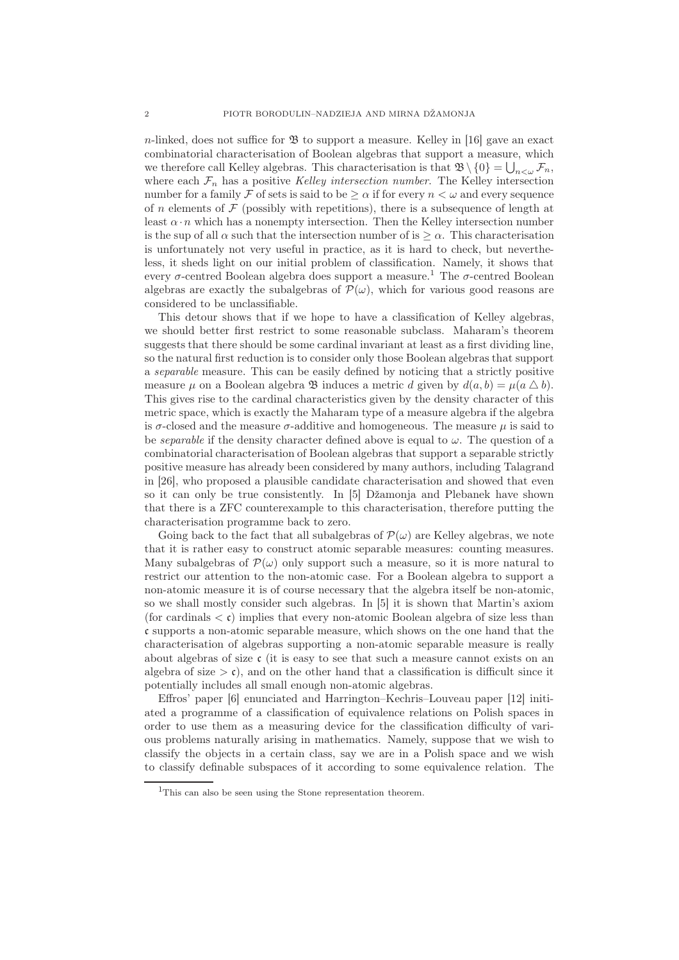$n$ -linked, does not suffice for  $\mathfrak{B}$  to support a measure. Kelley in [16] gave an exact combinatorial characterisation of Boolean algebras that support a measure, which we therefore call Kelley algebras. This characterisation is that  $\mathfrak{B}\setminus\{0\}=\bigcup_{n<\omega}^{\infty}\mathcal{F}_n$ , where each  $\mathcal{F}_n$  has a positive Kelley intersection number. The Kelley intersection number for a family F of sets is said to be  $\geq \alpha$  if for every  $n < \omega$  and every sequence of n elements of  $\mathcal F$  (possibly with repetitions), there is a subsequence of length at least  $\alpha \cdot n$  which has a nonempty intersection. Then the Kelley intersection number is the sup of all  $\alpha$  such that the intersection number of is  $\geq \alpha$ . This characterisation is unfortunately not very useful in practice, as it is hard to check, but nevertheless, it sheds light on our initial problem of classification. Namely, it shows that every  $\sigma$ -centred Boolean algebra does support a measure.<sup>1</sup> The  $\sigma$ -centred Boolean algebras are exactly the subalgebras of  $\mathcal{P}(\omega)$ , which for various good reasons are considered to be unclassifiable.

This detour shows that if we hope to have a classification of Kelley algebras, we should better first restrict to some reasonable subclass. Maharam's theorem suggests that there should be some cardinal invariant at least as a first dividing line, so the natural first reduction is to consider only those Boolean algebras that support a separable measure. This can be easily defined by noticing that a strictly positive measure  $\mu$  on a Boolean algebra  $\mathfrak B$  induces a metric d given by  $d(a, b) = \mu(a \bigtriangleup b)$ . This gives rise to the cardinal characteristics given by the density character of this metric space, which is exactly the Maharam type of a measure algebra if the algebra is  $\sigma$ -closed and the measure  $\sigma$ -additive and homogeneous. The measure  $\mu$  is said to be *separable* if the density character defined above is equal to  $\omega$ . The question of a combinatorial characterisation of Boolean algebras that support a separable strictly positive measure has already been considered by many authors, including Talagrand in [26], who proposed a plausible candidate characterisation and showed that even so it can only be true consistently. In [5] Džamonja and Plebanek have shown that there is a ZFC counterexample to this characterisation, therefore putting the characterisation programme back to zero.

Going back to the fact that all subalgebras of  $\mathcal{P}(\omega)$  are Kelley algebras, we note that it is rather easy to construct atomic separable measures: counting measures. Many subalgebras of  $\mathcal{P}(\omega)$  only support such a measure, so it is more natural to restrict our attention to the non-atomic case. For a Boolean algebra to support a non-atomic measure it is of course necessary that the algebra itself be non-atomic, so we shall mostly consider such algebras. In [5] it is shown that Martin's axiom (for cardinals  $\langle \mathbf{c} \rangle$ ) implies that every non-atomic Boolean algebra of size less than c supports a non-atomic separable measure, which shows on the one hand that the characterisation of algebras supporting a non-atomic separable measure is really about algebras of size  $\mathfrak c$  (it is easy to see that such a measure cannot exists on an algebra of size  $> \mathfrak{c}$ ), and on the other hand that a classification is difficult since it potentially includes all small enough non-atomic algebras.

Effros' paper [6] enunciated and Harrington–Kechris–Louveau paper [12] initiated a programme of a classification of equivalence relations on Polish spaces in order to use them as a measuring device for the classification difficulty of various problems naturally arising in mathematics. Namely, suppose that we wish to classify the objects in a certain class, say we are in a Polish space and we wish to classify definable subspaces of it according to some equivalence relation. The

<sup>&</sup>lt;sup>1</sup>This can also be seen using the Stone representation theorem.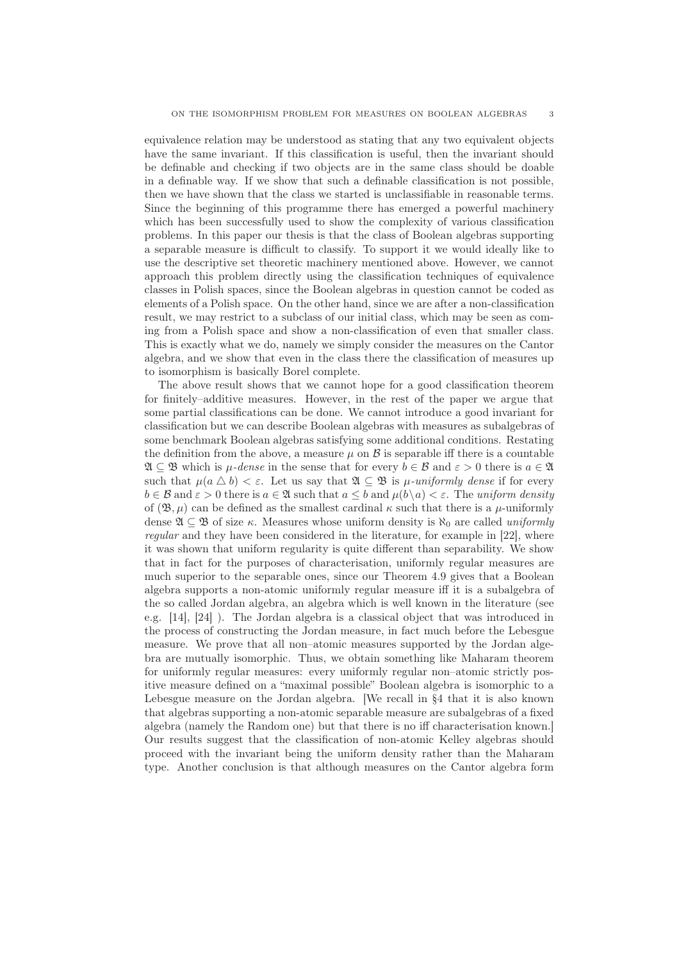equivalence relation may be understood as stating that any two equivalent objects have the same invariant. If this classification is useful, then the invariant should be definable and checking if two objects are in the same class should be doable in a definable way. If we show that such a definable classification is not possible, then we have shown that the class we started is unclassifiable in reasonable terms. Since the beginning of this programme there has emerged a powerful machinery which has been successfully used to show the complexity of various classification problems. In this paper our thesis is that the class of Boolean algebras supporting a separable measure is difficult to classify. To support it we would ideally like to use the descriptive set theoretic machinery mentioned above. However, we cannot approach this problem directly using the classification techniques of equivalence classes in Polish spaces, since the Boolean algebras in question cannot be coded as elements of a Polish space. On the other hand, since we are after a non-classification result, we may restrict to a subclass of our initial class, which may be seen as coming from a Polish space and show a non-classification of even that smaller class. This is exactly what we do, namely we simply consider the measures on the Cantor algebra, and we show that even in the class there the classification of measures up to isomorphism is basically Borel complete.

The above result shows that we cannot hope for a good classification theorem for finitely–additive measures. However, in the rest of the paper we argue that some partial classifications can be done. We cannot introduce a good invariant for classification but we can describe Boolean algebras with measures as subalgebras of some benchmark Boolean algebras satisfying some additional conditions. Restating the definition from the above, a measure  $\mu$  on  $\beta$  is separable iff there is a countable  $\mathfrak{A} \subseteq \mathfrak{B}$  which is  $\mu$ -dense in the sense that for every  $b \in \mathcal{B}$  and  $\varepsilon > 0$  there is  $a \in \mathfrak{A}$ such that  $\mu(a \bigtriangleup b) < \varepsilon$ . Let us say that  $\mathfrak{A} \subseteq \mathfrak{B}$  is  $\mu$ -uniformly dense if for every  $b \in \mathcal{B}$  and  $\varepsilon > 0$  there is  $a \in \mathfrak{A}$  such that  $a \leq b$  and  $\mu(b \setminus a) < \varepsilon$ . The uniform density of  $(\mathfrak{B}, \mu)$  can be defined as the smallest cardinal  $\kappa$  such that there is a  $\mu$ -uniformly dense  $\mathfrak{A} \subseteq \mathfrak{B}$  of size  $\kappa$ . Measures whose uniform density is  $\aleph_0$  are called uniformly regular and they have been considered in the literature, for example in [22], where it was shown that uniform regularity is quite different than separability. We show that in fact for the purposes of characterisation, uniformly regular measures are much superior to the separable ones, since our Theorem 4.9 gives that a Boolean algebra supports a non-atomic uniformly regular measure iff it is a subalgebra of the so called Jordan algebra, an algebra which is well known in the literature (see e.g. [14], [24] ). The Jordan algebra is a classical object that was introduced in the process of constructing the Jordan measure, in fact much before the Lebesgue measure. We prove that all non–atomic measures supported by the Jordan algebra are mutually isomorphic. Thus, we obtain something like Maharam theorem for uniformly regular measures: every uniformly regular non–atomic strictly positive measure defined on a "maximal possible" Boolean algebra is isomorphic to a Lebesgue measure on the Jordan algebra. [We recall in §4 that it is also known that algebras supporting a non-atomic separable measure are subalgebras of a fixed algebra (namely the Random one) but that there is no iff characterisation known.] Our results suggest that the classification of non-atomic Kelley algebras should proceed with the invariant being the uniform density rather than the Maharam type. Another conclusion is that although measures on the Cantor algebra form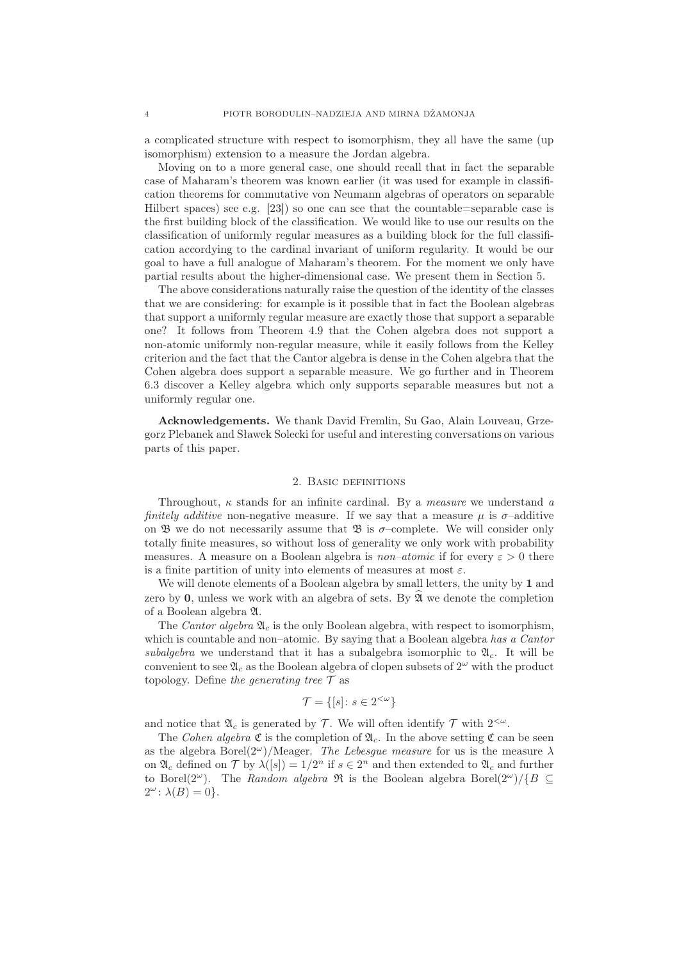a complicated structure with respect to isomorphism, they all have the same (up isomorphism) extension to a measure the Jordan algebra.

Moving on to a more general case, one should recall that in fact the separable case of Maharam's theorem was known earlier (it was used for example in classification theorems for commutative von Neumann algebras of operators on separable Hilbert spaces) see e.g. [23]) so one can see that the countable=separable case is the first building block of the classification. We would like to use our results on the classification of uniformly regular measures as a building block for the full classification accordying to the cardinal invariant of uniform regularity. It would be our goal to have a full analogue of Maharam's theorem. For the moment we only have partial results about the higher-dimensional case. We present them in Section 5.

The above considerations naturally raise the question of the identity of the classes that we are considering: for example is it possible that in fact the Boolean algebras that support a uniformly regular measure are exactly those that support a separable one? It follows from Theorem 4.9 that the Cohen algebra does not support a non-atomic uniformly non-regular measure, while it easily follows from the Kelley criterion and the fact that the Cantor algebra is dense in the Cohen algebra that the Cohen algebra does support a separable measure. We go further and in Theorem 6.3 discover a Kelley algebra which only supports separable measures but not a uniformly regular one.

Acknowledgements. We thank David Fremlin, Su Gao, Alain Louveau, Grzegorz Plebanek and Sławek Solecki for useful and interesting conversations on various parts of this paper.

### 2. Basic definitions

Throughout,  $\kappa$  stands for an infinite cardinal. By a *measure* we understand a finitely additive non-negative measure. If we say that a measure  $\mu$  is  $\sigma$ -additive on  $\mathfrak B$  we do not necessarily assume that  $\mathfrak B$  is  $\sigma$ -complete. We will consider only totally finite measures, so without loss of generality we only work with probability measures. A measure on a Boolean algebra is *non–atomic* if for every  $\varepsilon > 0$  there is a finite partition of unity into elements of measures at most  $\varepsilon$ .

We will denote elements of a Boolean algebra by small letters, the unity by 1 and zero by 0, unless we work with an algebra of sets. By  $\mathfrak{A}$  we denote the completion of a Boolean algebra A.

The Cantor algebra  $\mathfrak{A}_c$  is the only Boolean algebra, with respect to isomorphism, which is countable and non–atomic. By saying that a Boolean algebra has a Cantor subalgebra we understand that it has a subalgebra isomorphic to  $\mathfrak{A}_c$ . It will be convenient to see  $\mathfrak{A}_c$  as the Boolean algebra of clopen subsets of  $2^{\omega}$  with the product topology. Define the generating tree  $\mathcal T$  as

$$
\mathcal{T} = \{ [s] \colon s \in 2^{<\omega} \}
$$

and notice that  $\mathfrak{A}_c$  is generated by T. We will often identify T with  $2<sup>{\omega}</sup>$ .

The Cohen algebra  $\mathfrak C$  is the completion of  $\mathfrak A_c$ . In the above setting  $\mathfrak C$  can be seen as the algebra Borel(2<sup>ω</sup>)/Meager. The Lebesgue measure for us is the measure  $\lambda$ on  $\mathfrak{A}_c$  defined on  $\mathcal T$  by  $\lambda([s]) = 1/2^n$  if  $s \in 2^n$  and then extended to  $\mathfrak{A}_c$  and further to Borel(2<sup>ω</sup>). The Random algebra R is the Boolean algebra Borel(2<sup>ω</sup>)/{B  $\subseteq$  $2^{\omega}$ :  $\lambda(B) = 0$ .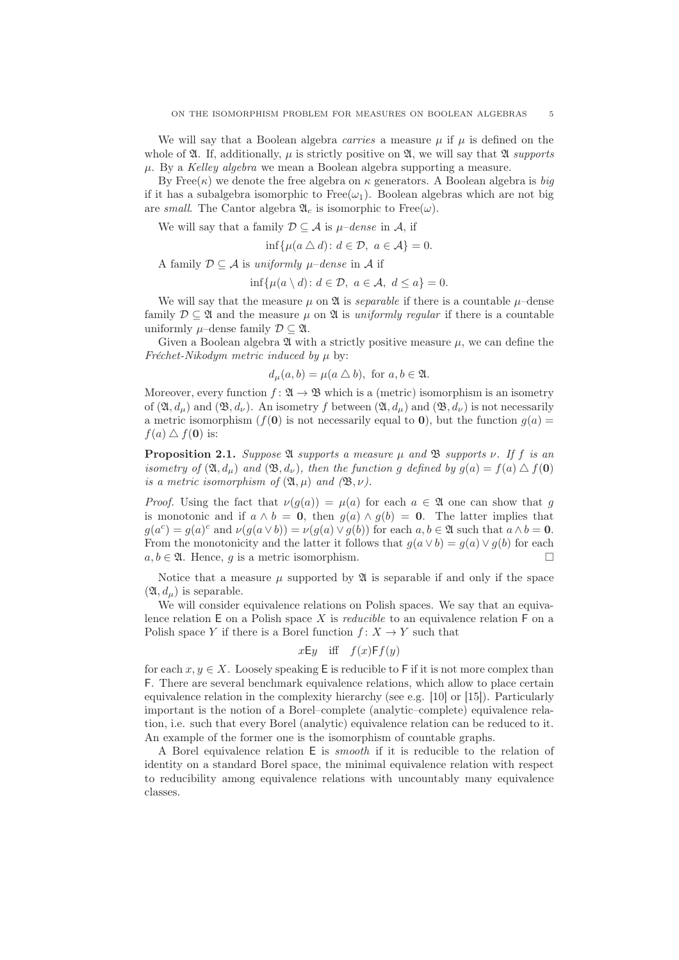We will say that a Boolean algebra *carries* a measure  $\mu$  if  $\mu$  is defined on the whole of  $\mathfrak{A}$ . If, additionally,  $\mu$  is strictly positive on  $\mathfrak{A}$ , we will say that  $\mathfrak{A}$  supports  $\mu$ . By a Kelley algebra we mean a Boolean algebra supporting a measure.

By Free( $\kappa$ ) we denote the free algebra on  $\kappa$  generators. A Boolean algebra is big if it has a subalgebra isomorphic to Free $(\omega_1)$ . Boolean algebras which are not big are small. The Cantor algebra  $\mathfrak{A}_{c}$  is isomorphic to Free( $\omega$ ).

We will say that a family  $\mathcal{D} \subseteq \mathcal{A}$  is  $\mu$ –dense in  $\mathcal{A}$ , if

$$
\inf \{ \mu(a \bigtriangleup d) : d \in \mathcal{D}, \ a \in \mathcal{A} \} = 0.
$$

A family  $\mathcal{D} \subseteq \mathcal{A}$  is uniformly  $\mu$ –dense in  $\mathcal{A}$  if

$$
\inf \{ \mu(a \setminus d) : d \in \mathcal{D}, \ a \in \mathcal{A}, \ d \leq a \} = 0.
$$

We will say that the measure  $\mu$  on  $\mathfrak A$  is *separable* if there is a countable  $\mu$ –dense family  $\mathcal{D} \subseteq \mathfrak{A}$  and the measure  $\mu$  on  $\mathfrak{A}$  is uniformly regular if there is a countable uniformly  $\mu$ –dense family  $\mathcal{D} \subseteq \mathfrak{A}$ .

Given a Boolean algebra  $\mathfrak A$  with a strictly positive measure  $\mu$ , we can define the Fréchet-Nikodym metric induced by  $\mu$  by:

$$
d_{\mu}(a,b) = \mu(a \bigtriangleup b), \text{ for } a, b \in \mathfrak{A}.
$$

Moreover, every function  $f: \mathfrak{A} \to \mathfrak{B}$  which is a (metric) isomorphism is an isometry of  $(\mathfrak{A}, d_{\mu})$  and  $(\mathfrak{B}, d_{\nu})$ . An isometry f between  $(\mathfrak{A}, d_{\mu})$  and  $(\mathfrak{B}, d_{\nu})$  is not necessarily a metric isomorphism ( $f(0)$ ) is not necessarily equal to 0), but the function  $g(a)$  =  $f(a) \bigtriangleup f(\mathbf{0})$  is:

**Proposition 2.1.** Suppose  $\mathfrak A$  supports a measure  $\mu$  and  $\mathfrak B$  supports  $\nu$ . If f is an isometry of  $(\mathfrak{A}, d_{\mu})$  and  $(\mathfrak{B}, d_{\nu})$ , then the function g defined by  $g(a) = f(a) \bigtriangleup f(\mathbf{0})$ is a metric isomorphism of  $(\mathfrak{A}, \mu)$  and  $(\mathfrak{B}, \nu)$ .

*Proof.* Using the fact that  $\nu(g(a)) = \mu(a)$  for each  $a \in \mathfrak{A}$  one can show that g is monotonic and if  $a \wedge b = 0$ , then  $g(a) \wedge g(b) = 0$ . The latter implies that  $g(a^c) = g(a)^c$  and  $\nu(g(a \vee b)) = \nu(g(a) \vee g(b))$  for each  $a, b \in \mathfrak{A}$  such that  $a \wedge b = 0$ . From the monotonicity and the latter it follows that  $q(a \vee b) = q(a) \vee q(b)$  for each  $a, b \in \mathfrak{A}$ . Hence, q is a metric isomorphism.

Notice that a measure  $\mu$  supported by  $\mathfrak A$  is separable if and only if the space  $(\mathfrak{A}, d_{\mu})$  is separable.

We will consider equivalence relations on Polish spaces. We say that an equivalence relation  $E$  on a Polish space X is *reducible* to an equivalence relation  $F$  on a Polish space Y if there is a Borel function  $f: X \to Y$  such that

$$
xEy
$$
 iff  $f(x)Ff(y)$ 

for each  $x, y \in X$ . Loosely speaking E is reducible to F if it is not more complex than F. There are several benchmark equivalence relations, which allow to place certain equivalence relation in the complexity hierarchy (see e.g. [10] or [15]). Particularly important is the notion of a Borel–complete (analytic–complete) equivalence relation, i.e. such that every Borel (analytic) equivalence relation can be reduced to it. An example of the former one is the isomorphism of countable graphs.

A Borel equivalence relation E is smooth if it is reducible to the relation of identity on a standard Borel space, the minimal equivalence relation with respect to reducibility among equivalence relations with uncountably many equivalence classes.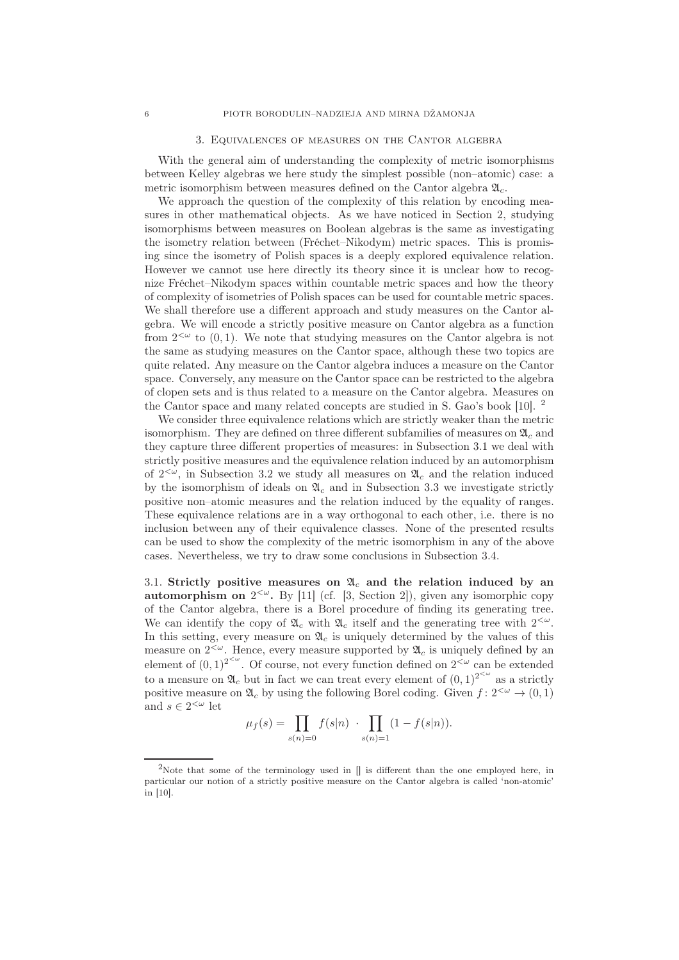#### 3. Equivalences of measures on the Cantor algebra

With the general aim of understanding the complexity of metric isomorphisms between Kelley algebras we here study the simplest possible (non–atomic) case: a metric isomorphism between measures defined on the Cantor algebra  $\mathfrak{A}_c$ .

We approach the question of the complexity of this relation by encoding measures in other mathematical objects. As we have noticed in Section 2, studying isomorphisms between measures on Boolean algebras is the same as investigating the isometry relation between (Fréchet–Nikodym) metric spaces. This is promising since the isometry of Polish spaces is a deeply explored equivalence relation. However we cannot use here directly its theory since it is unclear how to recognize Fréchet–Nikodym spaces within countable metric spaces and how the theory of complexity of isometries of Polish spaces can be used for countable metric spaces. We shall therefore use a different approach and study measures on the Cantor algebra. We will encode a strictly positive measure on Cantor algebra as a function from  $2^{&\omega}$  to  $(0,1)$ . We note that studying measures on the Cantor algebra is not the same as studying measures on the Cantor space, although these two topics are quite related. Any measure on the Cantor algebra induces a measure on the Cantor space. Conversely, any measure on the Cantor space can be restricted to the algebra of clopen sets and is thus related to a measure on the Cantor algebra. Measures on the Cantor space and many related concepts are studied in S. Gao's book [10]. <sup>2</sup>

We consider three equivalence relations which are strictly weaker than the metric isomorphism. They are defined on three different subfamilies of measures on  $\mathfrak{A}_c$  and they capture three different properties of measures: in Subsection 3.1 we deal with strictly positive measures and the equivalence relation induced by an automorphism of  $2<sup>{\omega}</sup>$ , in Subsection 3.2 we study all measures on  $\mathfrak{A}_c$  and the relation induced by the isomorphism of ideals on  $\mathfrak{A}_c$  and in Subsection 3.3 we investigate strictly positive non–atomic measures and the relation induced by the equality of ranges. These equivalence relations are in a way orthogonal to each other, i.e. there is no inclusion between any of their equivalence classes. None of the presented results can be used to show the complexity of the metric isomorphism in any of the above cases. Nevertheless, we try to draw some conclusions in Subsection 3.4.

3.1. Strictly positive measures on  $\mathfrak{A}_c$  and the relation induced by an **automorphism on**  $2<sup>{\infty}</sup>$ . By [11] (cf. [3, Section 2]), given any isomorphic copy of the Cantor algebra, there is a Borel procedure of finding its generating tree. We can identify the copy of  $\mathfrak{A}_c$  with  $\mathfrak{A}_c$  itself and the generating tree with  $2<sup>{\omega}</sup>$ . In this setting, every measure on  $\mathfrak{A}_c$  is uniquely determined by the values of this measure on  $2<sup>{\omega}</sup>$ . Hence, every measure supported by  $\mathfrak{A}_c$  is uniquely defined by an element of  $(0,1)^{2^{<\omega}}$ . Of course, not every function defined on  $2^{<\omega}$  can be extended to a measure on  $\mathfrak{A}_c$  but in fact we can treat every element of  $(0,1)^{2^{&\omega}}$  as a strictly positive measure on  $\mathfrak{A}_{c}$  by using the following Borel coding. Given  $f: 2^{<\omega} \to (0, 1)$ and  $s\in 2^{<\omega}$  let

$$
\mu_f(s) = \prod_{s(n)=0} f(s|n) \cdot \prod_{s(n)=1} (1 - f(s|n)).
$$

<sup>&</sup>lt;sup>2</sup>Note that some of the terminology used in  $\parallel$  is different than the one employed here, in particular our notion of a strictly positive measure on the Cantor algebra is called 'non-atomic' in [10].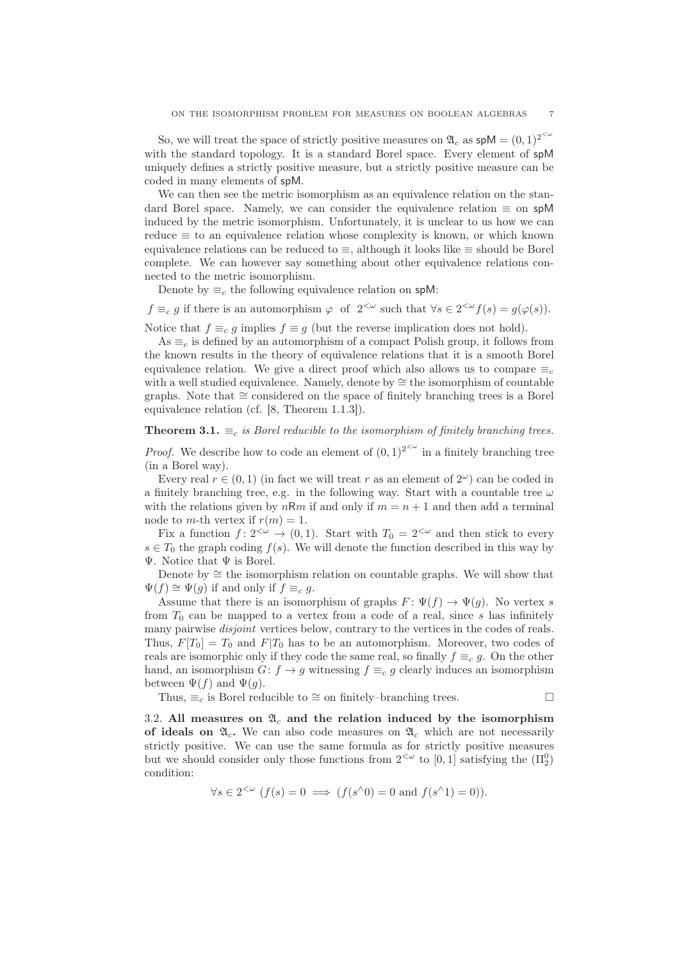So, we will treat the space of strictly positive measures on  $\mathfrak{A}_c$  as  $\mathsf{spM} = (0,1)^{2^{<\omega}}$ with the standard topology. It is a standard Borel space. Every element of spM uniquely defines a strictly positive measure, but a strictly positive measure can be coded in many elements of spM.

We can then see the metric isomorphism as an equivalence relation on the standard Borel space. Namely, we can consider the equivalence relation  $\equiv$  on spM induced by the metric isomorphism. Unfortunately, it is unclear to us how we can reduce  $\equiv$  to an equivalence relation whose complexity is known, or which known equivalence relations can be reduced to ≡, although it looks like ≡ should be Borel complete. We can however say something about other equivalence relations connected to the metric isomorphism.

Denote by  $\equiv_c$  the following equivalence relation on spM:

 $f \equiv_c g$  if there is an automorphism  $\varphi$  of  $2^{<\omega}$  such that  $\forall s \in 2^{<\omega} f(s) = g(\varphi(s)).$ 

Notice that  $f \equiv_c g$  implies  $f \equiv g$  (but the reverse implication does not hold).

As  $\equiv_c$  is defined by an automorphism of a compact Polish group, it follows from the known results in the theory of equivalence relations that it is a smooth Borel equivalence relation. We give a direct proof which also allows us to compare  $\equiv_c$ with a well studied equivalence. Namely, denote by ≅ the isomorphism of countable graphs. Note that ∼= considered on the space of finitely branching trees is a Borel equivalence relation (cf. [8, Theorem 1.1.3]).

## **Theorem 3.1.**  $\equiv_c$  is Borel reducible to the isomorphism of finitely branching trees.

*Proof.* We describe how to code an element of  $(0, 1)^{2^{<\omega}}$  in a finitely branching tree (in a Borel way).

Every real  $r \in (0,1)$  (in fact we will treat r as an element of  $2^{\omega}$ ) can be coded in a finitely branching tree, e.g. in the following way. Start with a countable tree  $\omega$ with the relations given by  $nRm$  if and only if  $m = n + 1$  and then add a terminal node to m-th vertex if  $r(m) = 1$ .

Fix a function  $f: 2^{<\omega} \to (0, 1)$ . Start with  $T_0 = 2^{<\omega}$  and then stick to every  $s \in T_0$  the graph coding  $f(s)$ . We will denote the function described in this way by  $\Psi$ . Notice that  $\Psi$  is Borel.

Denote by  $\cong$  the isomorphism relation on countable graphs. We will show that  $\Psi(f) \cong \Psi(q)$  if and only if  $f \equiv_c q$ .

Assume that there is an isomorphism of graphs  $F: \Psi(f) \to \Psi(g)$ . No vertex s from  $T_0$  can be mapped to a vertex from a code of a real, since s has infinitely many pairwise *disjoint* vertices below, contrary to the vertices in the codes of reals. Thus,  $F[T_0] = T_0$  and  $F[T_0]$  has to be an automorphism. Moreover, two codes of reals are isomorphic only if they code the same real, so finally  $f \equiv_c g$ . On the other hand, an isomorphism  $G: f \to g$  witnessing  $f \equiv_c g$  clearly induces an isomorphism between  $\Psi(f)$  and  $\Psi(g)$ .

Thus,  $\equiv_c$  is Borel reducible to  $\cong$  on finitely–branching trees.  $\Box$ 

3.2. All measures on  $\mathfrak{A}_c$  and the relation induced by the isomorphism of ideals on  $\mathfrak{A}_c$ . We can also code measures on  $\mathfrak{A}_c$  which are not necessarily strictly positive. We can use the same formula as for strictly positive measures but we should consider only those functions from  $2<sup>{\omega}</sup>$  to  $[0,1]$  satisfying the  $(\Pi_2^0)$ condition:

 $\forall s \in 2^{<\omega}$   $(f(s) = 0 \implies (f(s \land 0) = 0 \text{ and } f(s \land 1) = 0)).$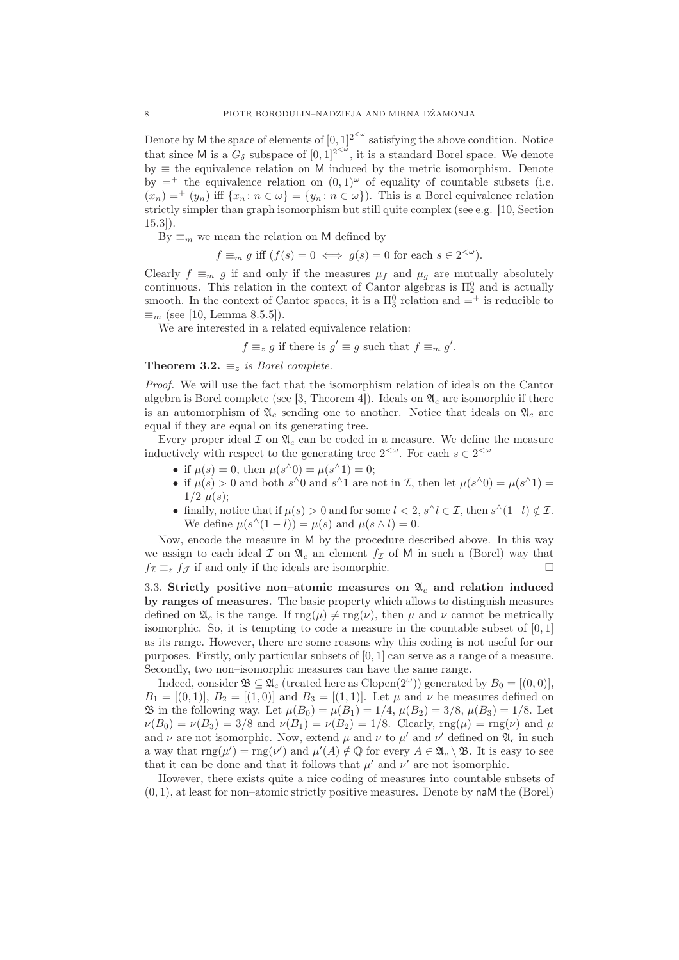Denote by M the space of elements of  $[0,1]^{2^{<\omega}}$  satisfying the above condition. Notice that since M is a  $G_{\delta}$  subspace of  $[0,1]^{2<\omega}$ , it is a standard Borel space. We denote  $by \equiv$  the equivalence relation on M induced by the metric isomorphism. Denote by  $=$ <sup>+</sup> the equivalence relation on  $(0, 1)^\omega$  of equality of countable subsets (i.e.  $(x_n)$  =  $^+(y_n)$  iff  $\{x_n : n \in \omega\}$  =  $\{y_n : n \in \omega\}$ . This is a Borel equivalence relation strictly simpler than graph isomorphism but still quite complex (see e.g. [10, Section 15.3]).

By  $\equiv_m$  we mean the relation on M defined by

 $f \equiv_m g$  iff  $(f(s) = 0 \iff g(s) = 0$  for each  $s \in 2^{<\omega}$ .

Clearly  $f \equiv_m g$  if and only if the measures  $\mu_f$  and  $\mu_g$  are mutually absolutely continuous. This relation in the context of Cantor algebras is  $\Pi_2^0$  and is actually smooth. In the context of Cantor spaces, it is a  $\Pi_3^0$  relation and  $=^+$  is reducible to  $\equiv_m$  (see [10, Lemma 8.5.5]).

We are interested in a related equivalence relation:

$$
f \equiv_z g
$$
 if there is  $g' \equiv g$  such that  $f \equiv_m g'$ .

Theorem 3.2.  $\equiv_z$  is Borel complete.

Proof. We will use the fact that the isomorphism relation of ideals on the Cantor algebra is Borel complete (see [3, Theorem 4]). Ideals on  $\mathfrak{A}_c$  are isomorphic if there is an automorphism of  $\mathfrak{A}_c$  sending one to another. Notice that ideals on  $\mathfrak{A}_c$  are equal if they are equal on its generating tree.

Every proper ideal  $\mathcal I$  on  $\mathfrak{A}_c$  can be coded in a measure. We define the measure inductively with respect to the generating tree  $2<sup>{\omega}</sup>$ . For each  $s \in 2<sup>{\omega}</sup>$ </sup>

- if  $\mu(s) = 0$ , then  $\mu(s^{\wedge}0) = \mu(s^{\wedge}1) = 0$ ;
- if  $\mu(s) > 0$  and both  $s^{\wedge}0$  and  $s^{\wedge}1$  are not in *I*, then let  $\mu(s^{\wedge}0) = \mu(s^{\wedge}1) =$  $1/2 \mu(s)$ :
- finally, notice that if  $\mu(s) > 0$  and for some  $l < 2$ ,  $s^{\wedge} l \in \mathcal{I}$ , then  $s^{\wedge}(1-l) \notin \mathcal{I}$ . We define  $\mu(s^{\wedge}(1-l)) = \mu(s)$  and  $\mu(s \wedge l) = 0$ .

Now, encode the measure in M by the procedure described above. In this way we assign to each ideal  $\mathcal I$  on  $\mathfrak A_c$  an element  $f_{\mathcal I}$  of M in such a (Borel) way that  $f_{\mathcal{I}} \equiv_z f_{\mathcal{I}}$  if and only if the ideals are isomorphic.

3.3. Strictly positive non–atomic measures on  $\mathfrak{A}_c$  and relation induced by ranges of measures. The basic property which allows to distinguish measures defined on  $\mathfrak{A}_c$  is the range. If  $\text{rng}(\mu) \neq \text{rng}(\nu)$ , then  $\mu$  and  $\nu$  cannot be metrically isomorphic. So, it is tempting to code a measure in the countable subset of  $[0,1]$ as its range. However, there are some reasons why this coding is not useful for our purposes. Firstly, only particular subsets of [0, 1] can serve as a range of a measure. Secondly, two non–isomorphic measures can have the same range.

Indeed, consider  $\mathfrak{B} \subseteq \mathfrak{A}_c$  (treated here as Clopen(2<sup>ω</sup>)) generated by  $B_0 = [(0, 0)],$  $B_1 = [(0, 1)], B_2 = [(1, 0)]$  and  $B_3 = [(1, 1)].$  Let  $\mu$  and  $\nu$  be measures defined on **B** in the following way. Let  $\mu(B_0) = \mu(B_1) = 1/4$ ,  $\mu(B_2) = 3/8$ ,  $\mu(B_3) = 1/8$ . Let  $\nu(B_0) = \nu(B_3) = 3/8$  and  $\nu(B_1) = \nu(B_2) = 1/8$ . Clearly,  $\text{rng}(\mu) = \text{rng}(\nu)$  and  $\mu$ and  $\nu$  are not isomorphic. Now, extend  $\mu$  and  $\nu$  to  $\mu'$  and  $\nu'$  defined on  $\mathfrak{A}_c$  in such a way that  $\text{rng}(\mu') = \text{rng}(\nu')$  and  $\mu'(A) \notin \mathbb{Q}$  for every  $A \in \mathfrak{A}_c \setminus \mathfrak{B}$ . It is easy to see that it can be done and that it follows that  $\mu'$  and  $\nu'$  are not isomorphic.

However, there exists quite a nice coding of measures into countable subsets of  $(0, 1)$ , at least for non–atomic strictly positive measures. Denote by naM the (Borel)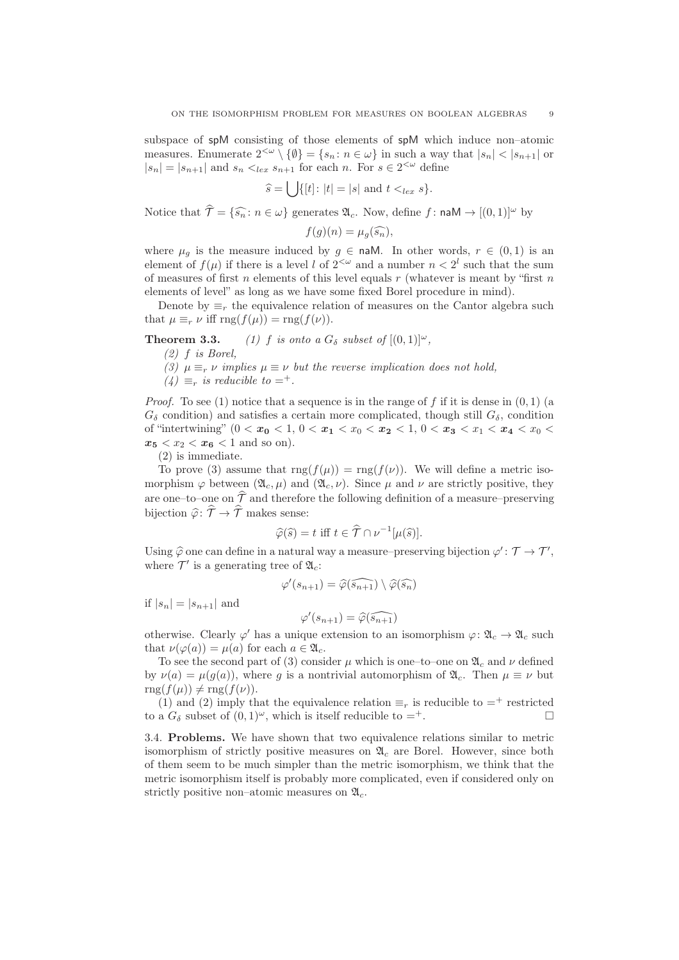subspace of spM consisting of those elements of spM which induce non–atomic measures. Enumerate  $2^{<\omega}\setminus\{\emptyset\} = \{s_n : n \in \omega\}$  in such a way that  $|s_n| < |s_{n+1}|$  or  $|s_n| = |s_{n+1}|$  and  $s_n <_{lex} s_{n+1}$  for each n. For  $s \in 2^{< \omega}$  define

$$
\widehat{s} = \bigcup \{ [t] \colon |t| = |s| \text{ and } t <_{lex} s \}.
$$

Notice that  $\hat{\mathcal{T}} = {\widehat{s_n} : n \in \omega}$  generates  $\mathfrak{A}_c$ . Now, define f: naM  $\rightarrow$   $[(0, 1)]^{\omega}$  by

$$
f(g)(n) = \mu_g(\widehat{s_n}),
$$

where  $\mu_q$  is the measure induced by  $g \in \text{naM}$ . In other words,  $r \in (0,1)$  is an element of  $f(\mu)$  if there is a level l of  $2<sup>{\omega}</sup>$  and a number  $n < 2<sup>l</sup>$  such that the sum of measures of first n elements of this level equals  $r$  (whatever is meant by "first  $n$ elements of level" as long as we have some fixed Borel procedure in mind).

Denote by  $\equiv_r$  the equivalence relation of measures on the Cantor algebra such that  $\mu \equiv_r \nu$  iff rng $(f(\mu)) = \text{rng}(f(\nu)).$ 

**Theorem 3.3.** (1) f is onto a  $G_{\delta}$  subset of  $[(0,1)]^{\omega}$ ,

(2) f is Borel,

- (3)  $\mu \equiv_r \nu$  implies  $\mu \equiv \nu$  but the reverse implication does not hold,
- $(4) \equiv_{r}$  is reducible to  $=^{+}$ .

*Proof.* To see (1) notice that a sequence is in the range of f if it is dense in  $(0, 1)$  (a  $G_{\delta}$  condition) and satisfies a certain more complicated, though still  $G_{\delta}$ , condition of "intertwining"  $(0 < x_0 < 1, 0 < x_1 < x_0 < x_2 < 1, 0 < x_3 < x_1 < x_4 < x_0 <$  $x_5 < x_2 < x_6 < 1$  and so on).

(2) is immediate.

To prove (3) assume that  $\text{rng}(f(\mu)) = \text{rng}(f(\nu))$ . We will define a metric isomorphism  $\varphi$  between  $(\mathfrak{A}_c, \mu)$  and  $(\mathfrak{A}_c, \nu)$ . Since  $\mu$  and  $\nu$  are strictly positive, they are one–to–one on  $\hat{\mathcal{T}}$  and therefore the following definition of a measure–preserving bijection  $\hat{\varphi}$ :  $\hat{\mathcal{T}} \to \hat{\mathcal{T}}$  makes sense:

$$
\widehat{\varphi}(\widehat{s}) = t \text{ iff } t \in \widehat{\mathcal{T}} \cap \nu^{-1}[\mu(\widehat{s})].
$$

Using  $\widehat{\varphi}$  one can define in a natural way a measure–preserving bijection  $\varphi' : \mathcal{T} \to \mathcal{T}'$ , where  $\mathcal{T}'$  is a generating tree of  $\mathfrak{A}_c$ :

$$
\varphi'(s_{n+1}) = \widehat{\varphi(s_{n+1})} \setminus \widehat{\varphi(s_n)}
$$

if  $|s_n| = |s_{n+1}|$  and

$$
\varphi'(s_{n+1}) = \widehat{\varphi(s_{n+1})}
$$

otherwise. Clearly  $\varphi'$  has a unique extension to an isomorphism  $\varphi: \mathfrak{A}_c \to \mathfrak{A}_c$  such that  $\nu(\varphi(a)) = \mu(a)$  for each  $a \in \mathfrak{A}_c$ .

To see the second part of (3) consider  $\mu$  which is one–to–one on  $\mathfrak{A}_c$  and  $\nu$  defined by  $\nu(a) = \mu(q(a))$ , where q is a nontrivial automorphism of  $\mathfrak{A}_c$ . Then  $\mu \equiv \nu$  but  $\text{rng}(f(\mu)) \neq \text{rng}(f(\nu)).$ 

(1) and (2) imply that the equivalence relation  $\equiv_r$  is reducible to  $=^+$  restricted to a  $G_{\delta}$  subset of  $(0, 1)^{\omega}$ , which is itself reducible to =<sup>+</sup>.

3.4. Problems. We have shown that two equivalence relations similar to metric isomorphism of strictly positive measures on  $\mathfrak{A}_c$  are Borel. However, since both of them seem to be much simpler than the metric isomorphism, we think that the metric isomorphism itself is probably more complicated, even if considered only on strictly positive non–atomic measures on  $\mathfrak{A}_c$ .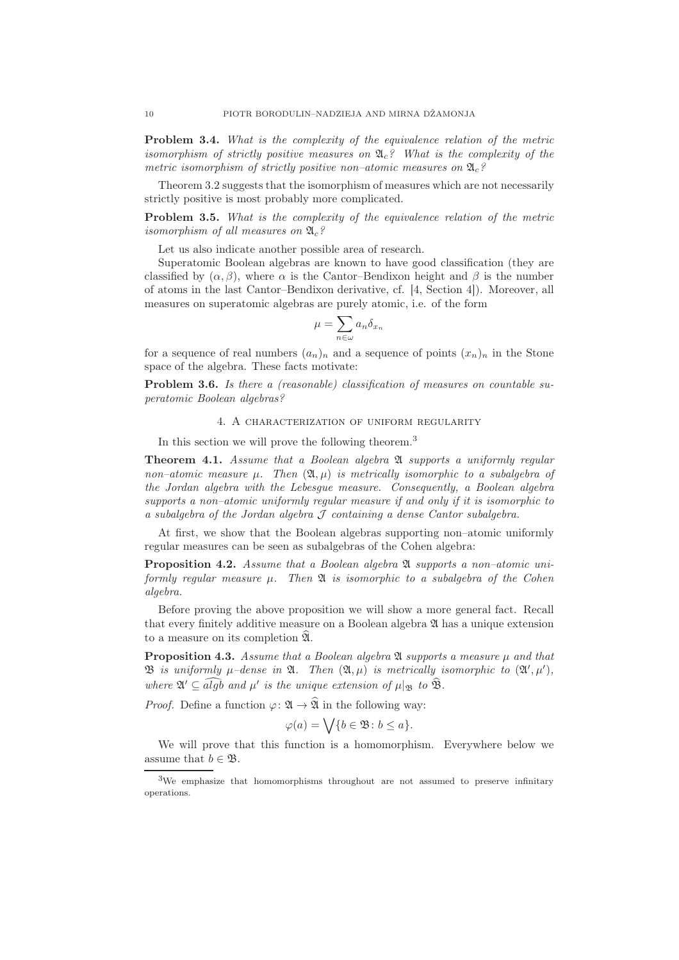Problem 3.4. What is the complexity of the equivalence relation of the metric isomorphism of strictly positive measures on  $\mathfrak{A}_{c}$ ? What is the complexity of the metric isomorphism of strictly positive non-atomic measures on  $\mathfrak{A}_c$ ?

Theorem 3.2 suggests that the isomorphism of measures which are not necessarily strictly positive is most probably more complicated.

Problem 3.5. What is the complexity of the equivalence relation of the metric isomorphism of all measures on  $\mathfrak{A}_c$ ?

Let us also indicate another possible area of research.

Superatomic Boolean algebras are known to have good classification (they are classified by  $(\alpha, \beta)$ , where  $\alpha$  is the Cantor–Bendixon height and  $\beta$  is the number of atoms in the last Cantor–Bendixon derivative, cf. [4, Section 4]). Moreover, all measures on superatomic algebras are purely atomic, i.e. of the form

$$
\mu = \sum_{n \in \omega} a_n \delta_{x_n}
$$

for a sequence of real numbers  $(a_n)_n$  and a sequence of points  $(x_n)_n$  in the Stone space of the algebra. These facts motivate:

Problem 3.6. Is there a (reasonable) classification of measures on countable superatomic Boolean algebras?

## 4. A characterization of uniform regularity

In this section we will prove the following theorem.<sup>3</sup>

**Theorem 4.1.** Assume that a Boolean algebra  $\mathfrak A$  supports a uniformly regular non–atomic measure  $\mu$ . Then  $(\mathfrak{A}, \mu)$  is metrically isomorphic to a subalgebra of the Jordan algebra with the Lebesgue measure. Consequently, a Boolean algebra supports a non–atomic uniformly regular measure if and only if it is isomorphic to a subalgebra of the Jordan algebra  $\mathcal J$  containing a dense Cantor subalgebra.

At first, we show that the Boolean algebras supporting non–atomic uniformly regular measures can be seen as subalgebras of the Cohen algebra:

**Proposition 4.2.** Assume that a Boolean algebra  $\mathfrak{A}$  supports a non-atomic uniformly regular measure  $\mu$ . Then  $\mathfrak A$  is isomorphic to a subalgebra of the Cohen algebra.

Before proving the above proposition we will show a more general fact. Recall that every finitely additive measure on a Boolean algebra A has a unique extension to a measure on its completion  $\mathfrak{A}$ .

**Proposition 4.3.** Assume that a Boolean algebra  $\mathfrak A$  supports a measure  $\mu$  and that  $\mathfrak B$  is uniformly  $\mu$ -dense in  $\mathfrak A$ . Then  $(\mathfrak A, \mu)$  is metrically isomorphic to  $(\mathfrak A', \mu'),$ where  $\mathfrak{A}' \subseteq \widehat{algb}$  and  $\mu'$  is the unique extension of  $\mu|_{\mathfrak{B}}$  to  $\widehat{\mathfrak{B}}$ .

*Proof.* Define a function  $\varphi: \mathfrak{A} \to \widehat{\mathfrak{A}}$  in the following way:

$$
\varphi(a) = \bigvee \{b \in \mathfrak{B} \colon b \le a\}.
$$

We will prove that this function is a homomorphism. Everywhere below we assume that  $b \in \mathfrak{B}$ .

<sup>&</sup>lt;sup>3</sup>We emphasize that homomorphisms throughout are not assumed to preserve infinitary operations.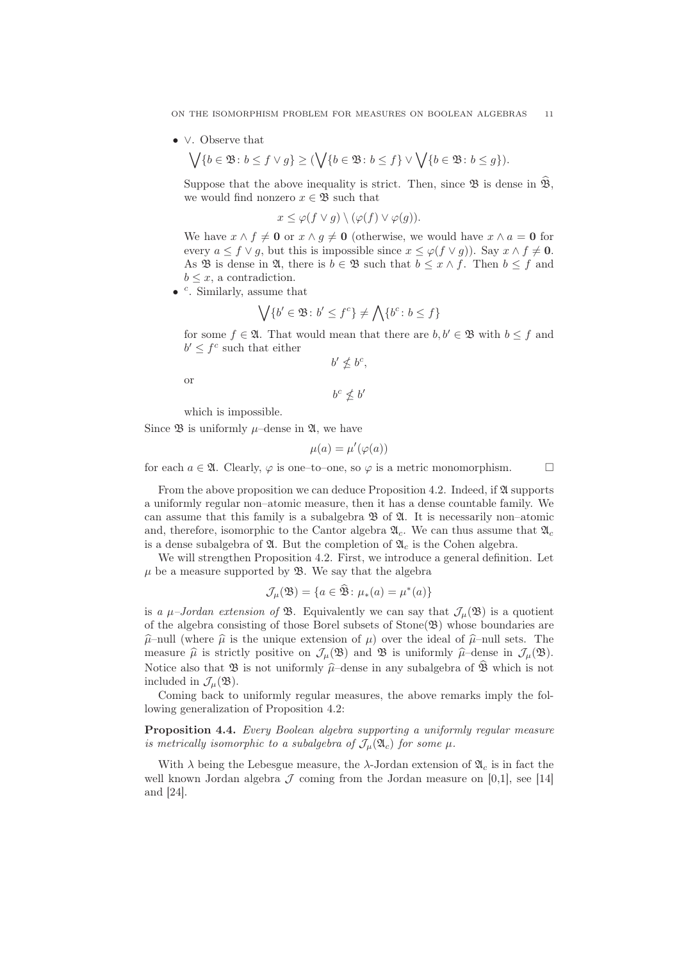ON THE ISOMORPHISM PROBLEM FOR MEASURES ON BOOLEAN ALGEBRAS 11

• ∨. Observe that

$$
\bigvee \{b\in \mathfrak{B}\colon b\leq f\vee g\}\geq (\bigvee \{b\in \mathfrak{B}\colon b\leq f\}\vee \bigvee \{b\in \mathfrak{B}\colon b\leq g\}).
$$

Suppose that the above inequality is strict. Then, since  $\mathfrak{B}$  is dense in  $\mathfrak{B}$ , we would find nonzero  $x \in \mathfrak{B}$  such that

$$
x \leq \varphi(f \vee g) \setminus (\varphi(f) \vee \varphi(g)).
$$

We have  $x \wedge f \neq 0$  or  $x \wedge g \neq 0$  (otherwise, we would have  $x \wedge a = 0$  for every  $a \leq f \vee g$ , but this is impossible since  $x \leq \varphi(f \vee g)$ . Say  $x \wedge f \neq 0$ . As **B** is dense in **2**, there is  $b \in \mathcal{B}$  such that  $b \leq x \wedge f$ . Then  $b \leq f$  and  $b \leq x$ , a contradiction.

 $\bullet$  <sup>c</sup>. Similarly, assume that

$$
\bigvee \{b' \in \mathfrak{B} \colon b' \le f^c\} \ne \bigwedge \{b^c \colon b \le f\}
$$

for some  $f \in \mathfrak{A}$ . That would mean that there are  $b, b' \in \mathfrak{B}$  with  $b \leq f$  and  $b' \leq f^c$  such that either

′

$$
b' \nleq b^c,
$$

or

$$
b^c\nleq b
$$

which is impossible.

Since  $\mathfrak{B}$  is uniformly  $\mu$ –dense in  $\mathfrak{A}$ , we have

$$
\mu(a) = \mu'(\varphi(a))
$$

for each  $a \in \mathfrak{A}$ . Clearly,  $\varphi$  is one–to–one, so  $\varphi$  is a metric monomorphism.

From the above proposition we can deduce Proposition 4.2. Indeed, if  $\mathfrak A$  supports a uniformly regular non–atomic measure, then it has a dense countable family. We can assume that this family is a subalgebra  $\mathfrak{B}$  of  $\mathfrak{A}$ . It is necessarily non–atomic and, therefore, isomorphic to the Cantor algebra  $\mathfrak{A}_c$ . We can thus assume that  $\mathfrak{A}_c$ is a dense subalgebra of  $\mathfrak{A}$ . But the completion of  $\mathfrak{A}_c$  is the Cohen algebra.

We will strengthen Proposition 4.2. First, we introduce a general definition. Let  $\mu$  be a measure supported by  $\mathfrak{B}$ . We say that the algebra

$$
\mathcal{J}_{\mu}(\mathfrak{B}) = \{ a \in \widehat{\mathfrak{B}} \colon \mu_*(a) = \mu^*(a) \}
$$

is a  $\mu$ -Jordan extension of B. Equivalently we can say that  $\mathcal{J}_{\mu}(\mathfrak{B})$  is a quotient of the algebra consisting of those Borel subsets of  $Stone(\mathfrak{B})$  whose boundaries are  $\hat{\mu}$ –null (where  $\hat{\mu}$  is the unique extension of  $\mu$ ) over the ideal of  $\hat{\mu}$ –null sets. The measure  $\hat{\mu}$  is strictly positive on  $\mathcal{J}_{\mu}(\mathfrak{B})$  and  $\mathfrak{B}$  is uniformly  $\hat{\mu}$ –dense in  $\mathcal{J}_{\mu}(\mathfrak{B})$ . Notice also that  $\mathfrak{B}$  is not uniformly  $\hat{\mu}$ –dense in any subalgebra of  $\hat{\mathfrak{B}}$  which is not included in  $\mathcal{J}_{\mu}(\mathfrak{B})$ .

Coming back to uniformly regular measures, the above remarks imply the following generalization of Proposition 4.2:

Proposition 4.4. Every Boolean algebra supporting a uniformly regular measure is metrically isomorphic to a subalgebra of  $\mathcal{J}_{\mu}(\mathfrak{A}_{c})$  for some  $\mu$ .

With  $\lambda$  being the Lebesgue measure, the  $\lambda$ -Jordan extension of  $\mathfrak{A}_c$  is in fact the well known Jordan algebra  $\mathcal J$  coming from the Jordan measure on [0,1], see [14] and [24].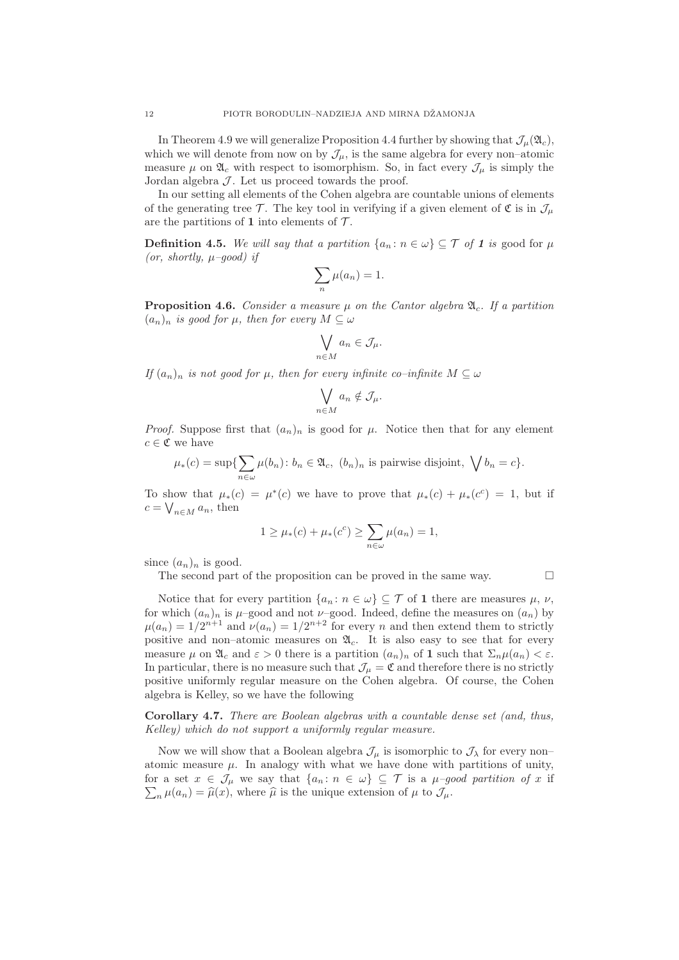In Theorem 4.9 we will generalize Proposition 4.4 further by showing that  $\mathcal{J}_{\mu}(\mathfrak{A}_{c}),$ which we will denote from now on by  $\mathcal{J}_{\mu}$ , is the same algebra for every non-atomic measure  $\mu$  on  $\mathfrak{A}_c$  with respect to isomorphism. So, in fact every  $\mathcal{J}_{\mu}$  is simply the Jordan algebra  $J$ . Let us proceed towards the proof.

In our setting all elements of the Cohen algebra are countable unions of elements of the generating tree T. The key tool in verifying if a given element of  $\mathfrak{C}$  is in  $\mathcal{J}_{\mu}$ are the partitions of 1 into elements of  $\mathcal{T}$ .

**Definition 4.5.** We will say that a partition  $\{a_n : n \in \omega\} \subseteq \mathcal{T}$  of 1 is good for  $\mu$ (or, shortly,  $\mu$ -good) if

$$
\sum_{n} \mu(a_n) = 1.
$$

**Proposition 4.6.** Consider a measure  $\mu$  on the Cantor algebra  $\mathfrak{A}_c$ . If a partition  $(a_n)_n$  is good for  $\mu$ , then for every  $M \subseteq \omega$ 

$$
\bigvee_{n\in M} a_n\in \mathcal{J}_\mu.
$$

If  $(a_n)_n$  is not good for  $\mu$ , then for every infinite co–infinite  $M \subseteq \omega$ 

$$
\bigvee_{n\in M} a_n\notin \mathcal{J}_\mu.
$$

*Proof.* Suppose first that  $(a_n)_n$  is good for  $\mu$ . Notice then that for any element  $c \in \mathfrak{C}$  we have

$$
\mu_*(c) = \sup \{ \sum_{n \in \omega} \mu(b_n) \colon b_n \in \mathfrak{A}_c, (b_n)_n \text{ is pairwise disjoint, } \bigvee b_n = c \}.
$$

To show that  $\mu_*(c) = \mu^*(c)$  we have to prove that  $\mu_*(c) + \mu_*(c^c) = 1$ , but if  $c = \bigvee_{n \in M} a_n$ , then

$$
1 \ge \mu_*(c) + \mu_*(c^c) \ge \sum_{n \in \omega} \mu(a_n) = 1,
$$

since  $(a_n)_n$  is good.

The second part of the proposition can be proved in the same way.  $\Box$ 

Notice that for every partition  $\{a_n : n \in \omega\} \subseteq \mathcal{T}$  of 1 there are measures  $\mu$ ,  $\nu$ , for which  $(a_n)_n$  is  $\mu$ –good and not  $\nu$ –good. Indeed, define the measures on  $(a_n)$  by  $\mu(a_n) = 1/2^{n+1}$  and  $\nu(a_n) = 1/2^{n+2}$  for every n and then extend them to strictly positive and non–atomic measures on  $\mathfrak{A}_c$ . It is also easy to see that for every measure  $\mu$  on  $\mathfrak{A}_c$  and  $\varepsilon > 0$  there is a partition  $(a_n)_n$  of **1** such that  $\Sigma_n \mu(a_n) < \varepsilon$ . In particular, there is no measure such that  $\mathcal{J}_\mu = \mathfrak{C}$  and therefore there is no strictly positive uniformly regular measure on the Cohen algebra. Of course, the Cohen algebra is Kelley, so we have the following

Corollary 4.7. There are Boolean algebras with a countable dense set (and, thus, Kelley) which do not support a uniformly regular measure.

Now we will show that a Boolean algebra  $\mathcal{J}_{\mu}$  is isomorphic to  $\mathcal{J}_{\lambda}$  for every non– atomic measure  $\mu$ . In analogy with what we have done with partitions of unity,  $\sum_n \mu(a_n) = \hat{\mu}(x)$ , where  $\hat{\mu}$  is the unique extension of  $\mu$  to  $\mathcal{J}_{\mu}$ . for a set  $x \in \mathcal{J}_{\mu}$  we say that  $\{a_n : n \in \omega\} \subseteq \mathcal{T}$  is a  $\mu$ -good partition of x if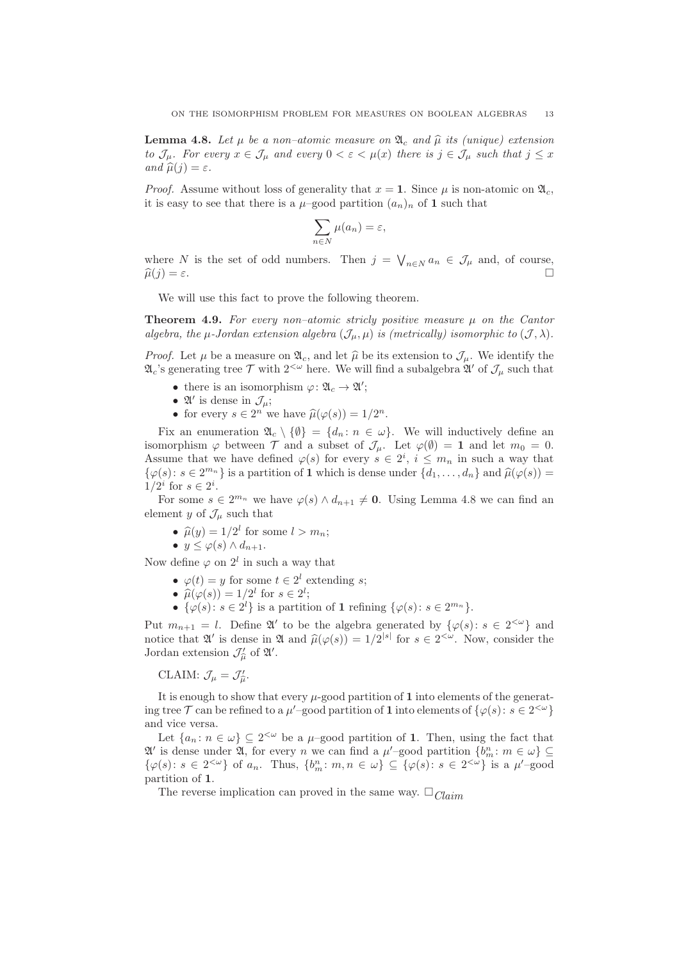**Lemma 4.8.** Let  $\mu$  be a non–atomic measure on  $\mathfrak{A}_c$  and  $\widehat{\mu}$  its (unique) extension to  $\mathcal{J}_{\mu}$ . For every  $x \in \mathcal{J}_{\mu}$  and every  $0 < \varepsilon < \mu(x)$  there is  $j \in \mathcal{J}_{\mu}$  such that  $j \leq x$ and  $\widehat{\mu}(j) = \varepsilon$ .

*Proof.* Assume without loss of generality that  $x = 1$ . Since  $\mu$  is non-atomic on  $\mathfrak{A}_{c}$ , it is easy to see that there is a  $\mu$ –good partition  $(a_n)_n$  of 1 such that

$$
\sum_{n\in N}\mu(a_n)=\varepsilon,
$$

where N is the set of odd numbers. Then  $j = \bigvee_{n \in N} a_n \in \mathcal{J}_{\mu}$  and, of course,  $\widehat{\mu}(j) = \varepsilon.$ 

We will use this fact to prove the following theorem.

**Theorem 4.9.** For every non–atomic stricly positive measure  $\mu$  on the Cantor algebra, the  $\mu$ -Jordan extension algebra  $(\mathcal{J}_{\mu}, \mu)$  is (metrically) isomorphic to  $(\mathcal{J}, \lambda)$ .

*Proof.* Let  $\mu$  be a measure on  $\mathfrak{A}_c$ , and let  $\widehat{\mu}$  be its extension to  $\mathcal{J}_{\mu}$ . We identify the  $\mathfrak{A}_c$ 's generating tree  $\mathcal T$  with  $2^{<\omega}$  here. We will find a subalgebra  $\mathfrak{A}'$  of  $\mathcal J_\mu$  such that

- there is an isomorphism  $\varphi: \mathfrak{A}_c \to \mathfrak{A}'$ ;
- $\mathfrak{A}'$  is dense in  $\mathcal{J}_{\mu}$ ;
- for every  $s \in 2^n$  we have  $\widehat{\mu}(\varphi(s)) = 1/2^n$ .

Fix an enumeration  $\mathfrak{A}_{c} \setminus \{ \emptyset \} = \{ d_n : n \in \omega \}.$  We will inductively define an isomorphism  $\varphi$  between  $\mathcal T$  and a subset of  $\mathcal J_\mu$ . Let  $\varphi(\emptyset) = 1$  and let  $m_0 = 0$ . Assume that we have defined  $\varphi(s)$  for every  $s \in 2^i$ ,  $i \leq m_n$  in such a way that  $\{\varphi(s): s \in 2^{m_n}\}\$ is a partition of 1 which is dense under  $\{d_1, \ldots, d_n\}$  and  $\widehat{\mu}(\varphi(s)) =$  $1/2^i$  for  $s \in 2^i$ .

For some  $s \in 2^{m_n}$  we have  $\varphi(s) \wedge d_{n+1} \neq \mathbf{0}$ . Using Lemma 4.8 we can find an element y of  $\mathcal{J}_{\mu}$  such that

- $\hat{\mu}(y) = 1/2^l$  for some  $l > m_n$ ;
- $y \leq \varphi(s) \wedge d_{n+1}$ .

Now define  $\varphi$  on  $2^l$  in such a way that

- $\varphi(t) = y$  for some  $t \in 2^l$  extending s;
- $\widehat{\mu}(\varphi(s)) = 1/2^l$  for  $s \in 2^l$ ;
- $\{\varphi(s): s \in 2^l\}$  is a partition of 1 refining  $\{\varphi(s): s \in 2^{m_n}\}.$

Put  $m_{n+1} = l$ . Define  $\mathfrak{A}'$  to be the algebra generated by  $\{\varphi(s): s \in 2^{<\omega}\}\$ and notice that  $\mathfrak{A}'$  is dense in  $\mathfrak{A}$  and  $\widehat{\mu}(\varphi(s)) = 1/2^{|s|}$  for  $s \in 2^{<\omega}$ . Now, consider the Jordan extension  $\mathcal{J}'_{\widehat{\mu}}$  of  $\mathfrak{A}'$ .

CLAIM:  $\mathcal{J}_{\mu} = \mathcal{J}'_{\widehat{\mu}}$ .

It is enough to show that every  $\mu$ -good partition of 1 into elements of the generating tree T can be refined to a  $\mu'$ -good partition of 1 into elements of  $\{\varphi(s): s \in 2^{<\omega}\}\$ and vice versa.

Let  $\{a_n : n \in \omega\} \subseteq 2^{\langle \omega \rangle}$  be a  $\mu$ -good partition of 1. Then, using the fact that  $\mathfrak{A}'$  is dense under  $\mathfrak{A}$ , for every n we can find a  $\mu'$ -good partition  $\{b_m^n : m \in \omega\} \subseteq$  $\{\varphi(s): s \in 2^{<\omega}\}\$  of  $a_n$ . Thus,  $\{b_m^n : m, n \in \omega\} \subseteq \{\varphi(s): s \in 2^{<\omega}\}\$ is a  $\mu'$ -good partition of 1.

The reverse implication can proved in the same way.  $\square_{\text{Claim}}$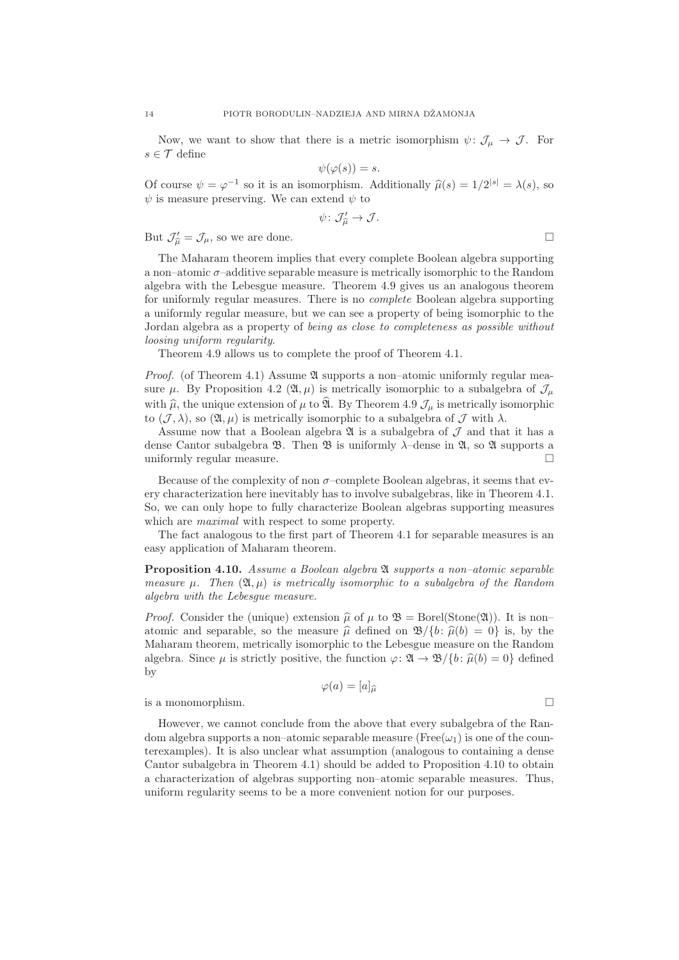Now, we want to show that there is a metric isomorphism  $\psi \colon \mathcal{J}_{\mu} \to \mathcal{J}$ . For  $s \in \mathcal{T}$  define

$$
\psi(\varphi(s)) = s.
$$

Of course  $\psi = \varphi^{-1}$  so it is an isomorphism. Additionally  $\hat{\mu}(s) = 1/2^{|s|} = \lambda(s)$ , so  $\psi$  is measure preserving. We can extend  $\psi$  to

$$
\psi\colon \mathcal{J}_{\widehat{\mu}}'\to \mathcal{J}.
$$

But  $\mathcal{J}'_{\hat{\mu}} = \mathcal{J}_{\mu}$ , so we are done.

$$
\Box
$$

The Maharam theorem implies that every complete Boolean algebra supporting a non–atomic σ–additive separable measure is metrically isomorphic to the Random algebra with the Lebesgue measure. Theorem 4.9 gives us an analogous theorem for uniformly regular measures. There is no complete Boolean algebra supporting a uniformly regular measure, but we can see a property of being isomorphic to the Jordan algebra as a property of being as close to completeness as possible without loosing uniform regularity.

Theorem 4.9 allows us to complete the proof of Theorem 4.1.

*Proof.* (of Theorem 4.1) Assume  $\mathfrak A$  supports a non–atomic uniformly regular measure  $\mu$ . By Proposition 4.2 ( $\mathfrak{A}, \mu$ ) is metrically isomorphic to a subalgebra of  $\mathcal{J}_{\mu}$ with  $\hat{\mu}$ , the unique extension of  $\mu$  to  $\hat{\mathfrak{A}}$ . By Theorem 4.9  $\mathcal{J}_{\mu}$  is metrically isomorphic to  $(\mathcal{J}, \lambda)$ , so  $(\mathfrak{A}, \mu)$  is metrically isomorphic to a subalgebra of  $\mathcal{J}$  with  $\lambda$ .

Assume now that a Boolean algebra  $\mathfrak A$  is a subalgebra of  $\mathcal I$  and that it has a dense Cantor subalgebra  $\mathfrak{B}$ . Then  $\mathfrak{B}$  is uniformly  $\lambda$ -dense in  $\mathfrak{A}$ , so  $\mathfrak{A}$  supports a uniformly regular measure.

Because of the complexity of non  $\sigma$ -complete Boolean algebras, it seems that every characterization here inevitably has to involve subalgebras, like in Theorem 4.1. So, we can only hope to fully characterize Boolean algebras supporting measures which are *maximal* with respect to some property.

The fact analogous to the first part of Theorem 4.1 for separable measures is an easy application of Maharam theorem.

**Proposition 4.10.** Assume a Boolean algebra  $\mathfrak{A}$  supports a non-atomic separable measure  $\mu$ . Then  $(\mathfrak{A}, \mu)$  is metrically isomorphic to a subalgebra of the Random algebra with the Lebesgue measure.

*Proof.* Consider the (unique) extension  $\hat{\mu}$  of  $\mu$  to  $\mathfrak{B} = \text{Borel}(\text{Stone}(\mathfrak{A}))$ . It is non– atomic and separable, so the measure  $\hat{u}$  defined on  $\mathcal{B}/\{b : \hat{u}(b) = 0\}$  is, by the Maharam theorem, metrically isomorphic to the Lebesgue measure on the Random algebra. Since  $\mu$  is strictly positive, the function  $\varphi \colon \mathfrak{A} \to \mathfrak{B}/\{b : \hat{\mu}(b) = 0\}$  defined by

$$
\varphi(a) = [a]_{\widehat{\mu}}
$$

is a monomorphism.

However, we cannot conclude from the above that every subalgebra of the Random algebra supports a non–atomic separable measure ( $Free(\omega_1)$ ) is one of the counterexamples). It is also unclear what assumption (analogous to containing a dense Cantor subalgebra in Theorem 4.1) should be added to Proposition 4.10 to obtain a characterization of algebras supporting non–atomic separable measures. Thus, uniform regularity seems to be a more convenient notion for our purposes.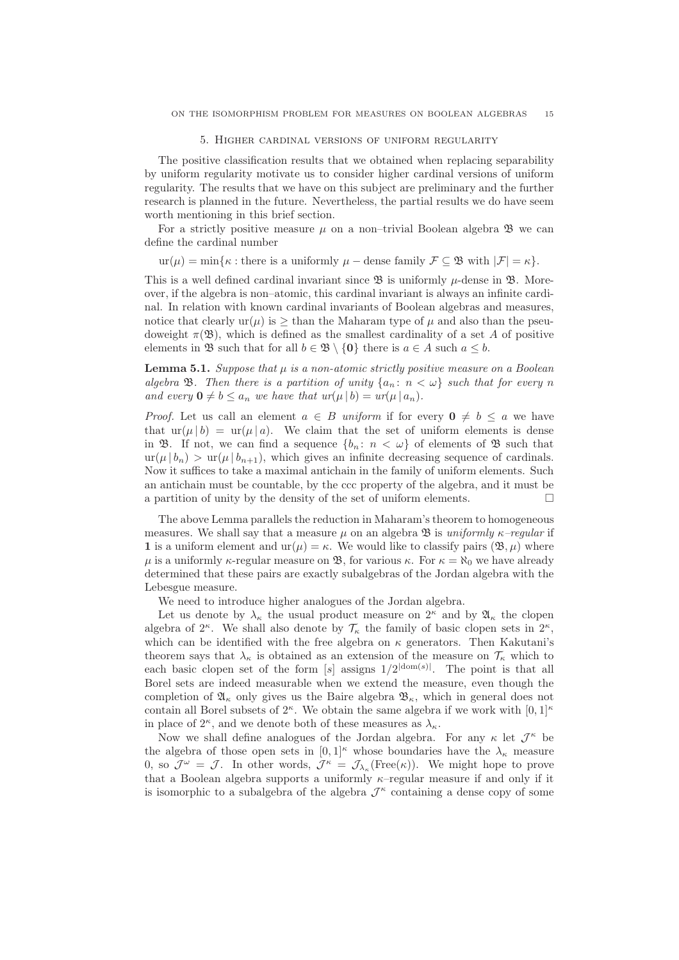#### 5. Higher cardinal versions of uniform regularity

The positive classification results that we obtained when replacing separability by uniform regularity motivate us to consider higher cardinal versions of uniform regularity. The results that we have on this subject are preliminary and the further research is planned in the future. Nevertheless, the partial results we do have seem worth mentioning in this brief section.

For a strictly positive measure  $\mu$  on a non–trivial Boolean algebra  $\mathfrak{B}$  we can define the cardinal number

 $ur(\mu) = min\{\kappa : \text{there is a uniformly } \mu - \text{dense family } \mathcal{F} \subseteq \mathfrak{B} \text{ with } |\mathcal{F}| = \kappa\}.$ 

This is a well defined cardinal invariant since  $\mathfrak B$  is uniformly  $\mu$ -dense in  $\mathfrak B$ . Moreover, if the algebra is non–atomic, this cardinal invariant is always an infinite cardinal. In relation with known cardinal invariants of Boolean algebras and measures, notice that clearly  $ur(\mu)$  is  $\geq$  than the Maharam type of  $\mu$  and also than the pseudoweight  $\pi(\mathfrak{B})$ , which is defined as the smallest cardinality of a set A of positive elements in  $\mathfrak{B}$  such that for all  $b \in \mathfrak{B} \setminus \{0\}$  there is  $a \in A$  such  $a \leq b$ .

**Lemma 5.1.** Suppose that  $\mu$  is a non-atomic strictly positive measure on a Boolean algebra **B**. Then there is a partition of unity  $\{a_n : n < \omega\}$  such that for every n and every  $\mathbf{0} \neq b \leq a_n$  we have that  $ur(\mu | b) = ur(\mu | a_n)$ .

*Proof.* Let us call an element  $a \in B$  uniform if for every  $0 \neq b \leq a$  we have that  $\text{ur}(\mu | b) = \text{ur}(\mu | a)$ . We claim that the set of uniform elements is dense in B. If not, we can find a sequence  $\{b_n: n < \omega\}$  of elements of B such that  $ur(\mu | b_n) > ur(\mu | b_{n+1}),$  which gives an infinite decreasing sequence of cardinals. Now it suffices to take a maximal antichain in the family of uniform elements. Such an antichain must be countable, by the ccc property of the algebra, and it must be a partition of unity by the density of the set of uniform elements.  $\Box$ 

The above Lemma parallels the reduction in Maharam's theorem to homogeneous measures. We shall say that a measure  $\mu$  on an algebra  $\mathfrak{B}$  is uniformly  $\kappa$ -regular if 1 is a uniform element and  $ur(\mu) = \kappa$ . We would like to classify pairs  $(\mathfrak{B}, \mu)$  where  $\mu$  is a uniformly κ-regular measure on **B**, for various κ. For  $\kappa = \aleph_0$  we have already determined that these pairs are exactly subalgebras of the Jordan algebra with the Lebesgue measure.

We need to introduce higher analogues of the Jordan algebra.

Let us denote by  $\lambda_{\kappa}$  the usual product measure on  $2^{\kappa}$  and by  $\mathfrak{A}_{\kappa}$  the clopen algebra of  $2^{\kappa}$ . We shall also denote by  $\mathcal{T}_{\kappa}$  the family of basic clopen sets in  $2^{\kappa}$ , which can be identified with the free algebra on  $\kappa$  generators. Then Kakutani's theorem says that  $\lambda_{\kappa}$  is obtained as an extension of the measure on  $\mathcal{T}_{\kappa}$  which to each basic clopen set of the form  $[s]$  assigns  $1/2^{|dom(s)|}$ . The point is that all Borel sets are indeed measurable when we extend the measure, even though the completion of  $\mathfrak{A}_{\kappa}$  only gives us the Baire algebra  $\mathfrak{B}_{\kappa}$ , which in general does not contain all Borel subsets of  $2^{\kappa}$ . We obtain the same algebra if we work with  $[0,1]^{\kappa}$ in place of  $2^{\kappa}$ , and we denote both of these measures as  $\lambda_{\kappa}$ .

Now we shall define analogues of the Jordan algebra. For any  $\kappa$  let  $\mathcal{J}^{\kappa}$  be the algebra of those open sets in  $[0,1]^{\kappa}$  whose boundaries have the  $\lambda_{\kappa}$  measure 0, so  $\mathcal{J}^{\omega} = \mathcal{J}$ . In other words,  $\mathcal{J}^{\kappa} = \mathcal{J}_{\lambda_{\kappa}}(\text{Free}(\kappa))$ . We might hope to prove that a Boolean algebra supports a uniformly  $\kappa$ -regular measure if and only if it is isomorphic to a subalgebra of the algebra  $\mathcal{J}^{\kappa}$  containing a dense copy of some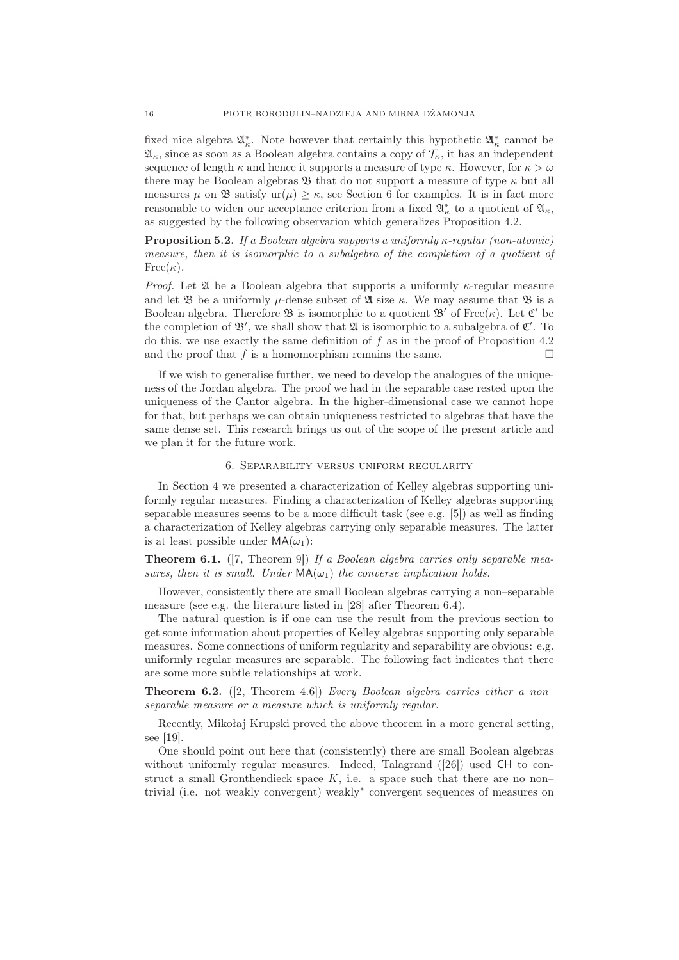fixed nice algebra  $\mathfrak{A}_\kappa^*$ . Note however that certainly this hypothetic  $\mathfrak{A}_\kappa^*$  cannot be  $\mathfrak{A}_{\kappa}$ , since as soon as a Boolean algebra contains a copy of  $\mathcal{T}_{\kappa}$ , it has an independent sequence of length  $\kappa$  and hence it supports a measure of type  $\kappa$ . However, for  $\kappa > \omega$ there may be Boolean algebras  $\mathfrak B$  that do not support a measure of type  $\kappa$  but all measures  $\mu$  on  $\mathfrak{B}$  satisfy  $ur(\mu) \geq \kappa$ , see Section 6 for examples. It is in fact more reasonable to widen our acceptance criterion from a fixed  $\mathfrak{A}_\kappa^*$  to a quotient of  $\mathfrak{A}_\kappa$ , as suggested by the following observation which generalizes Proposition 4.2.

**Proposition 5.2.** If a Boolean algebra supports a uniformly  $\kappa$ -regular (non-atomic) measure, then it is isomorphic to a subalgebra of the completion of a quotient of  $Free(\kappa).$ 

*Proof.* Let  $\mathfrak A$  be a Boolean algebra that supports a uniformly  $\kappa$ -regular measure and let  $\mathfrak B$  be a uniformly  $\mu$ -dense subset of  $\mathfrak A$  size  $\kappa$ . We may assume that  $\mathfrak B$  is a Boolean algebra. Therefore  $\mathfrak{B}$  is isomorphic to a quotient  $\mathfrak{B}'$  of Free $(\kappa)$ . Let  $\mathfrak{C}'$  be the completion of  $\mathfrak{B}'$ , we shall show that  $\mathfrak A$  is isomorphic to a subalgebra of  $\mathfrak{C}'$ . To do this, we use exactly the same definition of  $f$  as in the proof of Proposition 4.2 and the proof that  $f$  is a homomorphism remains the same.

If we wish to generalise further, we need to develop the analogues of the uniqueness of the Jordan algebra. The proof we had in the separable case rested upon the uniqueness of the Cantor algebra. In the higher-dimensional case we cannot hope for that, but perhaps we can obtain uniqueness restricted to algebras that have the same dense set. This research brings us out of the scope of the present article and we plan it for the future work.

## 6. Separability versus uniform regularity

In Section 4 we presented a characterization of Kelley algebras supporting uniformly regular measures. Finding a characterization of Kelley algebras supporting separable measures seems to be a more difficult task (see e.g. [5]) as well as finding a characterization of Kelley algebras carrying only separable measures. The latter is at least possible under  $MA(\omega_1)$ :

**Theorem 6.1.** ([7, Theorem 9]) If a Boolean algebra carries only separable measures, then it is small. Under  $MA(\omega_1)$  the converse implication holds.

However, consistently there are small Boolean algebras carrying a non–separable measure (see e.g. the literature listed in [28] after Theorem 6.4).

The natural question is if one can use the result from the previous section to get some information about properties of Kelley algebras supporting only separable measures. Some connections of uniform regularity and separability are obvious: e.g. uniformly regular measures are separable. The following fact indicates that there are some more subtle relationships at work.

**Theorem 6.2.** ([2, Theorem 4.6]) Every Boolean algebra carries either a nonseparable measure or a measure which is uniformly regular.

Recently, Mikołaj Krupski proved the above theorem in a more general setting, see [19].

One should point out here that (consistently) there are small Boolean algebras without uniformly regular measures. Indeed, Talagrand ([26]) used CH to construct a small Gronthendieck space  $K$ , i.e. a space such that there are no nontrivial (i.e. not weakly convergent) weakly<sup>∗</sup> convergent sequences of measures on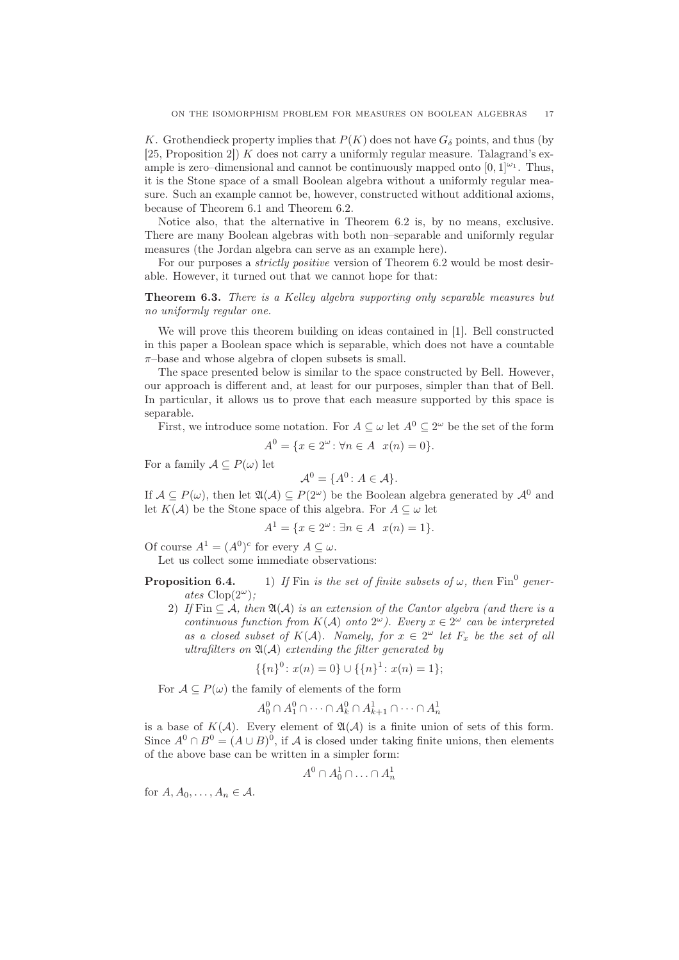K. Grothendieck property implies that  $P(K)$  does not have  $G_{\delta}$  points, and thus (by [25, Proposition 2]) K does not carry a uniformly regular measure. Talagrand's example is zero-dimensional and cannot be continuously mapped onto  $[0, 1]^{\omega_1}$ . Thus, it is the Stone space of a small Boolean algebra without a uniformly regular measure. Such an example cannot be, however, constructed without additional axioms, because of Theorem 6.1 and Theorem 6.2.

Notice also, that the alternative in Theorem 6.2 is, by no means, exclusive. There are many Boolean algebras with both non–separable and uniformly regular measures (the Jordan algebra can serve as an example here).

For our purposes a *strictly positive* version of Theorem 6.2 would be most desirable. However, it turned out that we cannot hope for that:

## Theorem 6.3. There is a Kelley algebra supporting only separable measures but no uniformly regular one.

We will prove this theorem building on ideas contained in [1]. Bell constructed in this paper a Boolean space which is separable, which does not have a countable  $\pi$ -base and whose algebra of clopen subsets is small.

The space presented below is similar to the space constructed by Bell. However, our approach is different and, at least for our purposes, simpler than that of Bell. In particular, it allows us to prove that each measure supported by this space is separable.

First, we introduce some notation. For  $A \subseteq \omega$  let  $A^0 \subseteq 2^{\omega}$  be the set of the form

$$
A^{0} = \{ x \in 2^{\omega} \colon \forall n \in A \ \ x(n) = 0 \}.
$$

For a family  $\mathcal{A} \subseteq P(\omega)$  let

$$
\mathcal{A}^0 = \{A^0 \colon A \in \mathcal{A}\}.
$$

If  $A \subseteq P(\omega)$ , then let  $\mathfrak{A}(\mathcal{A}) \subseteq P(2^{\omega})$  be the Boolean algebra generated by  $\mathcal{A}^0$  and let  $K(\mathcal{A})$  be the Stone space of this algebra. For  $A \subseteq \omega$  let

$$
A^{1} = \{ x \in 2^{\omega} \colon \exists n \in A \ \ x(n) = 1 \}.
$$

Of course  $A^1 = (A^0)^c$  for every  $A \subseteq \omega$ .

Let us collect some immediate observations:

**Proposition 6.4.** 1) If Fin is the set of finite subsets of  $\omega$ , then Fin<sup>0</sup> generates  $Clop(2^{\omega})$ ;

2) If Fin  $\subseteq A$ , then  $\mathfrak{A}(A)$  is an extension of the Cantor algebra (and there is a continuous function from  $K(\mathcal{A})$  onto  $2^{\omega}$ ). Every  $x \in 2^{\omega}$  can be interpreted as a closed subset of  $K(\mathcal{A})$ . Namely, for  $x \in 2^{\omega}$  let  $F_x$  be the set of all ultrafilters on  $\mathfrak{A}(\mathcal{A})$  extending the filter generated by

$$
\{\{n\}^0 \colon x(n) = 0\} \cup \{\{n\}^1 \colon x(n) = 1\};
$$

For  $A \subseteq P(\omega)$  the family of elements of the form

$$
A_0^0 \cap A_1^0 \cap \cdots \cap A_k^0 \cap A_{k+1}^1 \cap \cdots \cap A_n^1
$$

is a base of  $K(\mathcal{A})$ . Every element of  $\mathfrak{A}(\mathcal{A})$  is a finite union of sets of this form. Since  $A^0 \cap B^0 = (A \cup B)^0$ , if A is closed under taking finite unions, then elements of the above base can be written in a simpler form:

$$
A^0 \cap A_0^1 \cap \ldots \cap A_n^1
$$

for  $A, A_0, \ldots, A_n \in \mathcal{A}$ .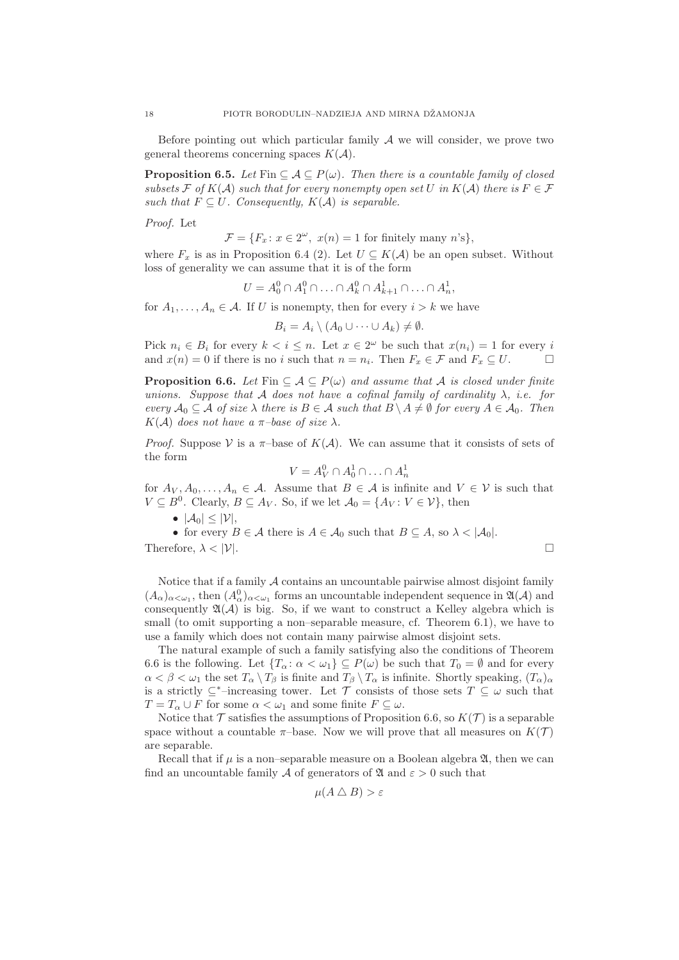Before pointing out which particular family  $A$  we will consider, we prove two general theorems concerning spaces  $K(\mathcal{A})$ .

**Proposition 6.5.** Let Fin  $\subseteq A \subseteq P(\omega)$ . Then there is a countable family of closed subsets F of K(A) such that for every nonempty open set U in K(A) there is  $F \in \mathcal{F}$ such that  $F \subseteq U$ . Consequently,  $K(A)$  is separable.

Proof. Let

 $\mathcal{F} = \{F_x \colon x \in 2^\omega, \ x(n) = 1 \text{ for finitely many } n \text{'s}\},\$ 

where  $F_x$  is as in Proposition 6.4 (2). Let  $U \subseteq K(\mathcal{A})$  be an open subset. Without loss of generality we can assume that it is of the form

$$
U = A_0^0 \cap A_1^0 \cap \ldots \cap A_k^0 \cap A_{k+1}^1 \cap \ldots \cap A_n^1,
$$

for  $A_1, \ldots, A_n \in \mathcal{A}$ . If U is nonempty, then for every  $i > k$  we have

$$
B_i = A_i \setminus (A_0 \cup \cdots \cup A_k) \neq \emptyset.
$$

Pick  $n_i \in B_i$  for every  $k < i \leq n$ . Let  $x \in 2^{\omega}$  be such that  $x(n_i) = 1$  for every i and  $x(n) = 0$  if there is no i such that  $n = n_i$ . Then  $F_x \in \mathcal{F}$  and  $F_x \subseteq U$ .

**Proposition 6.6.** Let Fin  $\subseteq A \subseteq P(\omega)$  and assume that A is closed under finite unions. Suppose that A does not have a cofinal family of cardinality  $\lambda$ , i.e. for every  $A_0 \subseteq A$  of size  $\lambda$  there is  $B \in A$  such that  $B \setminus A \neq \emptyset$  for every  $A \in A_0$ . Then  $K(\mathcal{A})$  does not have a  $\pi$ -base of size  $\lambda$ .

*Proof.* Suppose V is a  $\pi$ -base of  $K(\mathcal{A})$ . We can assume that it consists of sets of the form

$$
V = A_V^0 \cap A_0^1 \cap \ldots \cap A_n^1
$$

for  $A_V, A_0, \ldots, A_n \in \mathcal{A}$ . Assume that  $B \in \mathcal{A}$  is infinite and  $V \in \mathcal{V}$  is such that  $V \subseteq B^0$ . Clearly,  $B \subseteq A_V$ . So, if we let  $\mathcal{A}_0 = \{A_V : V \in \mathcal{V}\}\)$ , then

•  $|\mathcal{A}_0| \leq |\mathcal{V}|,$ 

• for every  $B \in \mathcal{A}$  there is  $A \in \mathcal{A}_0$  such that  $B \subseteq A$ , so  $\lambda < |\mathcal{A}_0|$ . Therefore,  $\lambda < |\mathcal{V}|$ .

Notice that if a family  $A$  contains an uncountable pairwise almost disjoint family  $(A_{\alpha})_{\alpha<\omega_1}$ , then  $(A_{\alpha}^0)_{\alpha<\omega_1}$  forms an uncountable independent sequence in  $\mathfrak{A}(\mathcal{A})$  and consequently  $\mathfrak{A}(\mathcal{A})$  is big. So, if we want to construct a Kelley algebra which is small (to omit supporting a non–separable measure, cf. Theorem 6.1), we have to use a family which does not contain many pairwise almost disjoint sets.

The natural example of such a family satisfying also the conditions of Theorem 6.6 is the following. Let  $\{T_\alpha: \alpha < \omega_1\} \subseteq P(\omega)$  be such that  $T_0 = \emptyset$  and for every  $\alpha < \beta < \omega_1$  the set  $T_\alpha \setminus T_\beta$  is finite and  $T_\beta \setminus T_\alpha$  is infinite. Shortly speaking,  $(T_\alpha)_\alpha$ is a strictly  $\subseteq^*$ –increasing tower. Let T consists of those sets  $T \subseteq \omega$  such that  $T = T_\alpha \cup F$  for some  $\alpha < \omega_1$  and some finite  $F \subseteq \omega$ .

Notice that  $\mathcal T$  satisfies the assumptions of Proposition 6.6, so  $K(\mathcal T)$  is a separable space without a countable  $\pi$ -base. Now we will prove that all measures on  $K(\mathcal{T})$ are separable.

Recall that if  $\mu$  is a non–separable measure on a Boolean algebra  $\mathfrak{A}$ , then we can find an uncountable family A of generators of  $\mathfrak A$  and  $\varepsilon > 0$  such that

$$
\mu(A \bigtriangleup B) > \varepsilon
$$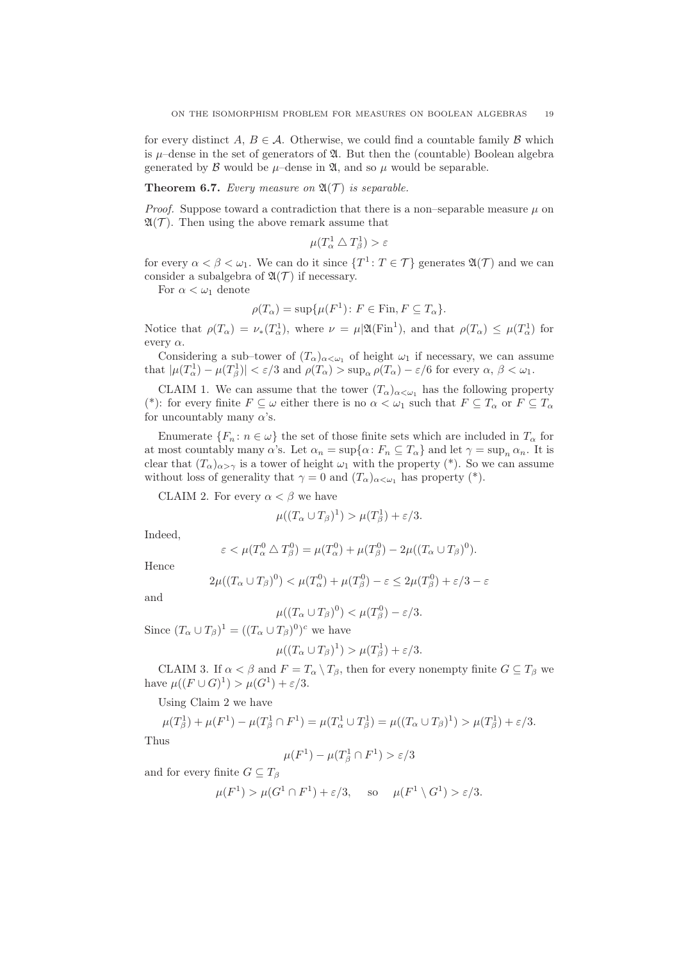for every distinct A,  $B \in \mathcal{A}$ . Otherwise, we could find a countable family B which is  $\mu$ –dense in the set of generators of  $\mathfrak{A}$ . But then the (countable) Boolean algebra generated by  $\beta$  would be  $\mu$ –dense in  $\mathfrak{A}$ , and so  $\mu$  would be separable.

## **Theorem 6.7.** Every measure on  $\mathfrak{A}(\mathcal{T})$  is separable.

*Proof.* Suppose toward a contradiction that there is a non–separable measure  $\mu$  on  $\mathfrak{A}(\mathcal{T})$ . Then using the above remark assume that

$$
\mu(T_\alpha^1 \bigtriangleup T_\beta^1) > \varepsilon
$$

for every  $\alpha < \beta < \omega_1$ . We can do it since  $\{T^1 : T \in \mathcal{T}\}\$  generates  $\mathfrak{A}(\mathcal{T})$  and we can consider a subalgebra of  $\mathfrak{A}(\mathcal{T})$  if necessary.

For  $\alpha < \omega_1$  denote

$$
\rho(T_{\alpha}) = \sup \{ \mu(F^1) \colon F \in \text{Fin}, F \subseteq T_{\alpha} \}.
$$

Notice that  $\rho(T_{\alpha}) = \nu_*(T_{\alpha}^1)$ , where  $\nu = \mu|\mathfrak{A}(\mathrm{Fin}^1)$ , and that  $\rho(T_{\alpha}) \leq \mu(T_{\alpha}^1)$  for every  $\alpha$ .

Considering a sub-tower of  $(T_\alpha)_{\alpha<\omega_1}$  of height  $\omega_1$  if necessary, we can assume that  $|\mu(T_\alpha^1) - \mu(T_\beta^1)| < \varepsilon/3$  and  $\rho(T_\alpha) > \sup_{\alpha} \rho(T_\alpha) - \varepsilon/6$  for every  $\alpha, \beta < \omega_1$ .

CLAIM 1. We can assume that the tower  $(T_\alpha)_{\alpha<\omega_1}$  has the following property (\*): for every finite  $F \subseteq \omega$  either there is no  $\alpha < \omega_1$  such that  $F \subseteq T_\alpha$  or  $F \subseteq T_\alpha$ for uncountably many  $\alpha$ 's.

Enumerate  $\{F_n: n \in \omega\}$  the set of those finite sets which are included in  $T_\alpha$  for at most countably many  $\alpha$ 's. Let  $\alpha_n = \sup\{\alpha : F_n \subseteq T_\alpha\}$  and let  $\gamma = \sup_n \alpha_n$ . It is clear that  $(T_\alpha)_{\alpha>\gamma}$  is a tower of height  $\omega_1$  with the property (\*). So we can assume without loss of generality that  $\gamma = 0$  and  $(T_\alpha)_{\alpha < \omega_1}$  has property (\*).

CLAIM 2. For every  $\alpha < \beta$  we have

$$
\mu((T_{\alpha} \cup T_{\beta})^1) > \mu(T_{\beta}^1) + \varepsilon/3.
$$

Indeed,

$$
\varepsilon < \mu(T_\alpha^0 \bigtriangleup T_\beta^0) = \mu(T_\alpha^0) + \mu(T_\beta^0) - 2\mu((T_\alpha \cup T_\beta)^0).
$$

Hence

$$
2\mu((T_{\alpha} \cup T_{\beta})^0) < \mu(T_{\alpha}^0) + \mu(T_{\beta}^0) - \varepsilon \le 2\mu(T_{\beta}^0) + \varepsilon/3 - \varepsilon
$$

and

$$
\mu((T_{\alpha}\cup T_{\beta})^0) < \mu(T_{\beta}^0) - \varepsilon/3.
$$

Since  $(T_\alpha \cup T_\beta)^1 = ((T_\alpha \cup T_\beta)^0)^c$  we have

$$
\mu((T_{\alpha} \cup T_{\beta})^1) > \mu(T_{\beta}^1) + \varepsilon/3.
$$

CLAIM 3. If  $\alpha < \beta$  and  $F = T_{\alpha} \setminus T_{\beta}$ , then for every nonempty finite  $G \subseteq T_{\beta}$  we have  $\mu((F \cup G)^1) > \mu(G^1) + \varepsilon/3$ .

Using Claim 2 we have

$$
\mu(T_{\beta}^1) + \mu(F^1) - \mu(T_{\beta}^1 \cap F^1) = \mu(T_{\alpha}^1 \cup T_{\beta}^1) = \mu((T_{\alpha} \cup T_{\beta})^1) > \mu(T_{\beta}^1) + \varepsilon/3.
$$
  
Thus

$$
\mu(F^1) - \mu(T_\beta^1 \cap F^1) > \varepsilon/3
$$

and for every finite  $G \subseteq T_\beta$ 

$$
\mu(F^1) > \mu(G^1 \cap F^1) + \varepsilon/3, \quad \text{ so } \quad \mu(F^1 \setminus G^1) > \varepsilon/3.
$$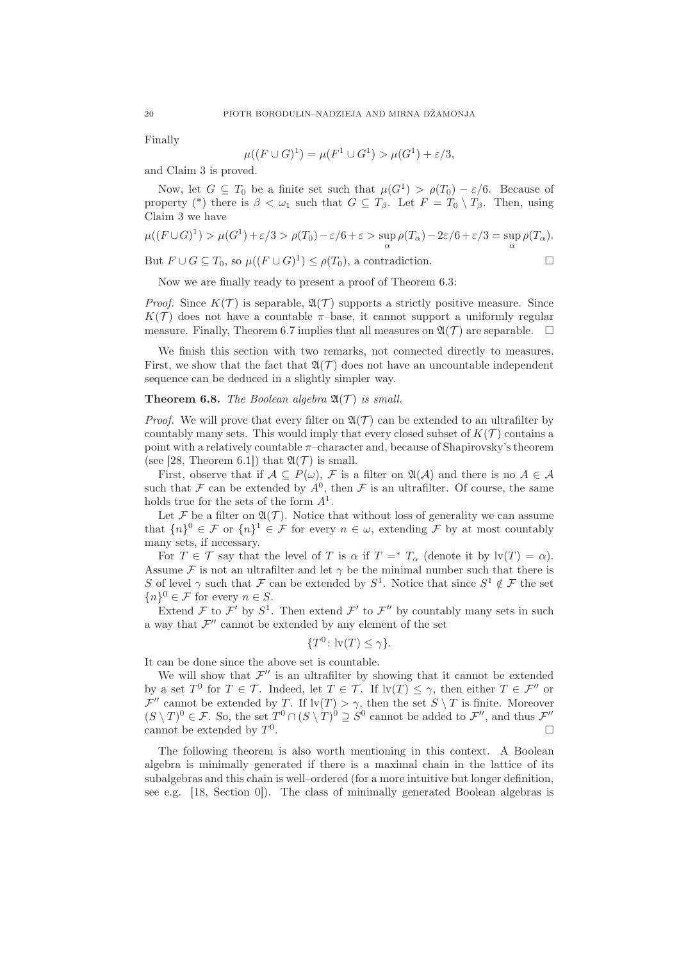Finally

$$
\mu((F \cup G)^1) = \mu(F^1 \cup G^1) > \mu(G^1) + \varepsilon/3,
$$

and Claim 3 is proved.

Now, let  $G \subseteq T_0$  be a finite set such that  $\mu(G^1) > \rho(T_0) - \varepsilon/6$ . Because of property (\*) there is  $\beta < \omega_1$  such that  $G \subseteq T_\beta$ . Let  $F = T_0 \setminus T_\beta$ . Then, using Claim 3 we have

$$
\mu((F \cup G)^1) > \mu(G^1) + \varepsilon/3 > \rho(T_0) - \varepsilon/6 + \varepsilon > \sup_{\alpha} \rho(T_\alpha) - 2\varepsilon/6 + \varepsilon/3 = \sup_{\alpha} \rho(T_\alpha).
$$

But  $F \cup G \subseteq T_0$ , so  $\mu((F \cup G)^1) \leq \rho(T_0)$ , a contradiction.

$$
\qquad \qquad \Box
$$

Now we are finally ready to present a proof of Theorem 6.3:

*Proof.* Since  $K(\mathcal{T})$  is separable,  $\mathfrak{A}(\mathcal{T})$  supports a strictly positive measure. Since  $K(\mathcal{T})$  does not have a countable  $\pi$ -base, it cannot support a uniformly regular measure. Finally, Theorem 6.7 implies that all measures on  $\mathfrak{A}(\mathcal{T})$  are separable.  $\Box$ 

We finish this section with two remarks, not connected directly to measures. First, we show that the fact that  $\mathfrak{A}(\mathcal{T})$  does not have an uncountable independent sequence can be deduced in a slightly simpler way.

## **Theorem 6.8.** The Boolean algebra  $\mathfrak{A}(\mathcal{T})$  is small.

*Proof.* We will prove that every filter on  $\mathfrak{A}(\mathcal{T})$  can be extended to an ultrafilter by countably many sets. This would imply that every closed subset of  $K(\mathcal{T})$  contains a point with a relatively countable  $\pi$ –character and, because of Shapirovsky's theorem (see [28, Theorem 6.1]) that  $\mathfrak{A}(\mathcal{T})$  is small.

First, observe that if  $A \subseteq P(\omega)$ , F is a filter on  $\mathfrak{A}(\mathcal{A})$  and there is no  $A \in \mathcal{A}$ such that  $\mathcal F$  can be extended by  $A^0$ , then  $\mathcal F$  is an ultrafilter. Of course, the same holds true for the sets of the form  $A^1$ .

Let F be a filter on  $\mathfrak{A}(\mathcal{T})$ . Notice that without loss of generality we can assume that  $\{n\}^0 \in \mathcal{F}$  or  $\{n\}^1 \in \mathcal{F}$  for every  $n \in \omega$ , extending  $\mathcal{F}$  by at most countably many sets, if necessary.

For  $T \in \mathcal{T}$  say that the level of T is  $\alpha$  if  $T =^* T_\alpha$  (denote it by  $\text{lv}(T) = \alpha$ ). Assume F is not an ultrafilter and let  $\gamma$  be the minimal number such that there is S of level  $\gamma$  such that  $\mathcal F$  can be extended by  $S^1$ . Notice that since  $S^1 \notin \mathcal F$  the set  ${n}^0 \in \mathcal{F}$  for every  $n \in S$ .

Extend  $\mathcal F$  to  $\mathcal F'$  by  $S^1$ . Then extend  $\mathcal F'$  to  $\mathcal F''$  by countably many sets in such a way that  $\mathcal{F}''$  cannot be extended by any element of the set

$$
\{T^0\colon \mathrm{lv}(T)\leq \gamma\}.
$$

It can be done since the above set is countable.

We will show that  $\mathcal{F}''$  is an ultrafilter by showing that it cannot be extended by a set  $T^0$  for  $T \in \mathcal{T}$ . Indeed, let  $T \in \mathcal{T}$ . If  $\text{lv}(T) \leq \gamma$ , then either  $T \in \mathcal{F}''$  or  $\mathcal{F}''$  cannot be extended by T. If  $\text{lv}(T) > \gamma$ , then the set  $S \setminus T$  is finite. Moreover  $(S \setminus T)^0 \in \mathcal{F}$ . So, the set  $T^0 \cap (S \setminus T)^0 \supseteq S^0$  cannot be added to  $\mathcal{F}''$ , and thus  $\mathcal{F}''$ cannot be extended by  $T^0$ .

The following theorem is also worth mentioning in this context. A Boolean algebra is minimally generated if there is a maximal chain in the lattice of its subalgebras and this chain is well–ordered (for a more intuitive but longer definition, see e.g. [18, Section 0]). The class of minimally generated Boolean algebras is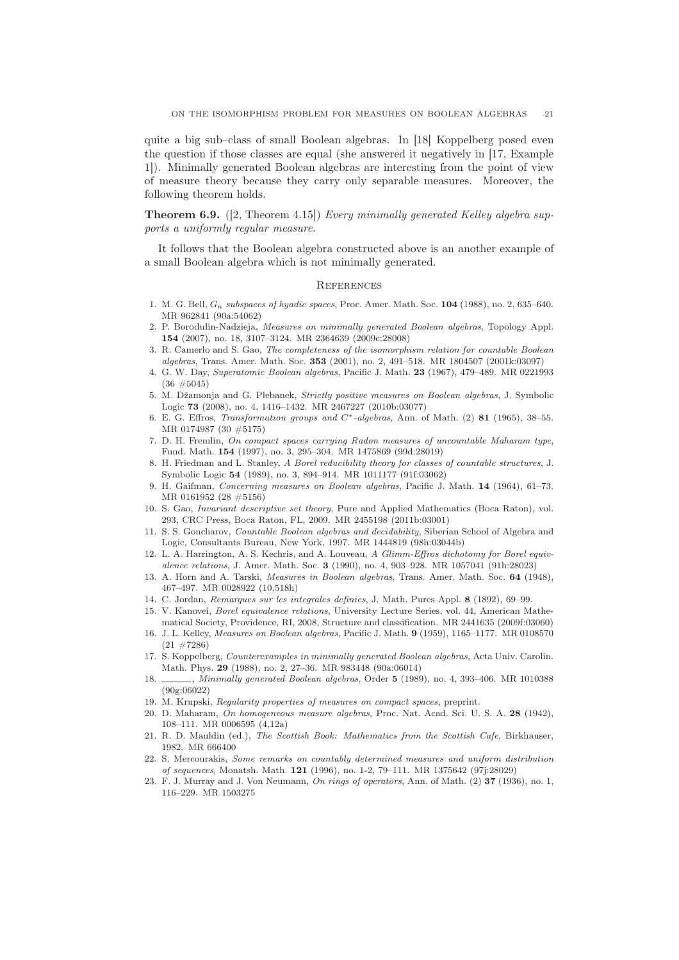quite a big sub–class of small Boolean algebras. In [18] Koppelberg posed even the question if those classes are equal (she answered it negatively in [17, Example 1]). Minimally generated Boolean algebras are interesting from the point of view of measure theory because they carry only separable measures. Moreover, the following theorem holds.

**Theorem 6.9.** ([2, Theorem 4.15]) Every minimally generated Kelley algebra supports a uniformly regular measure.

It follows that the Boolean algebra constructed above is an another example of a small Boolean algebra which is not minimally generated.

### **REFERENCES**

- 1. M. G. Bell, G<sup>κ</sup> *subspaces of hyadic spaces*, Proc. Amer. Math. Soc. 104 (1988), no. 2, 635–640. MR 962841 (90a:54062)
- 2. P. Borodulin-Nadzieja, *Measures on minimally generated Boolean algebras*, Topology Appl. 154 (2007), no. 18, 3107–3124. MR 2364639 (2009c:28008)
- 3. R. Camerlo and S. Gao, *The completeness of the isomorphism relation for countable Boolean algebras*, Trans. Amer. Math. Soc. 353 (2001), no. 2, 491–518. MR 1804507 (2001k:03097)
- 4. G. W. Day, *Superatomic Boolean algebras*, Pacific J. Math. 23 (1967), 479–489. MR 0221993 (36 #5045)
- 5. M. Džamonja and G. Plebanek, *Strictly positive measures on Boolean algebras*, J. Symbolic Logic 73 (2008), no. 4, 1416–1432. MR 2467227 (2010b:03077)
- 6. E. G. Effros, *Transformation groups and* C<sup>∗</sup> *-algebras*, Ann. of Math. (2) 81 (1965), 38–55. MR 0174987 (30 #5175)
- 7. D. H. Fremlin, *On compact spaces carrying Radon measures of uncountable Maharam type*, Fund. Math. 154 (1997), no. 3, 295–304. MR 1475869 (99d:28019)
- 8. H. Friedman and L. Stanley, *A Borel reducibility theory for classes of countable structures*, J. Symbolic Logic 54 (1989), no. 3, 894–914. MR 1011177 (91f:03062)
- 9. H. Gaifman, *Concerning measures on Boolean algebras*, Pacific J. Math. 14 (1964), 61–73. MR 0161952 (28 #5156)
- 10. S. Gao, *Invariant descriptive set theory*, Pure and Applied Mathematics (Boca Raton), vol. 293, CRC Press, Boca Raton, FL, 2009. MR 2455198 (2011b:03001)
- 11. S. S. Goncharov, *Countable Boolean algebras and decidability*, Siberian School of Algebra and Logic, Consultants Bureau, New York, 1997. MR 1444819 (98h:03044b)
- 12. L. A. Harrington, A. S. Kechris, and A. Louveau, *A Glimm-Effros dichotomy for Borel equivalence relations*, J. Amer. Math. Soc. 3 (1990), no. 4, 903–928. MR 1057041 (91h:28023)
- 13. A. Horn and A. Tarski, *Measures in Boolean algebras*, Trans. Amer. Math. Soc. 64 (1948), 467–497. MR 0028922 (10,518h)
- 14. C. Jordan, *Remarques sur les integrales definies*, J. Math. Pures Appl. 8 (1892), 69–99.
- 15. V. Kanovei, *Borel equivalence relations*, University Lecture Series, vol. 44, American Mathematical Society, Providence, RI, 2008, Structure and classification. MR 2441635 (2009f:03060)
- 16. J. L. Kelley, *Measures on Boolean algebras*, Pacific J. Math. 9 (1959), 1165–1177. MR 0108570  $(21 \ \#7286)$
- 17. S. Koppelberg, *Counterexamples in minimally generated Boolean algebras*, Acta Univ. Carolin. Math. Phys. 29 (1988), no. 2, 27–36. MR 983448 (90a:06014)
- 18. , *Minimally generated Boolean algebras*, Order 5 (1989), no. 4, 393–406. MR 1010388 (90g:06022)
- 19. M. Krupski, *Regularity properties of measures on compact spaces*, preprint.
- 20. D. Maharam, *On homogeneous measure algebras*, Proc. Nat. Acad. Sci. U. S. A. 28 (1942), 108–111. MR 0006595 (4,12a)
- 21. R. D. Mauldin (ed.), *The Scottish Book: Mathematics from the Scottish Cafe*, Birkhauser, 1982. MR 666400
- 22. S. Mercourakis, *Some remarks on countably determined measures and uniform distribution of sequences*, Monatsh. Math. 121 (1996), no. 1-2, 79–111. MR 1375642 (97j:28029)
- 23. F. J. Murray and J. Von Neumann, *On rings of operators*, Ann. of Math. (2) 37 (1936), no. 1, 116–229. MR 1503275